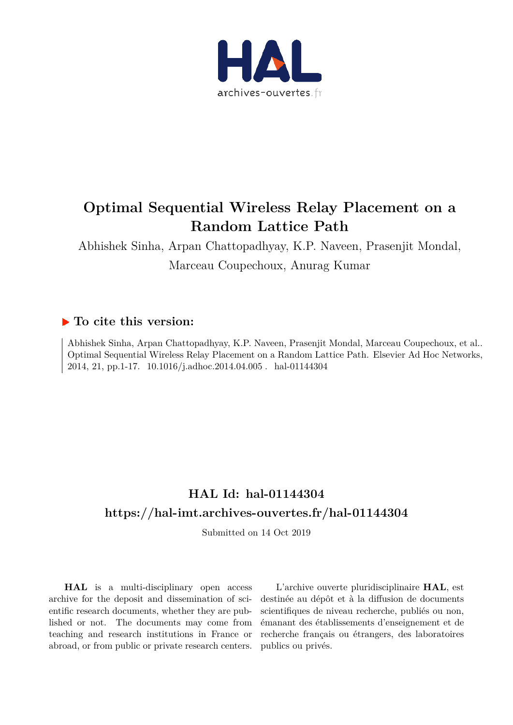

# **Optimal Sequential Wireless Relay Placement on a Random Lattice Path**

Abhishek Sinha, Arpan Chattopadhyay, K.P. Naveen, Prasenjit Mondal, Marceau Coupechoux, Anurag Kumar

# **To cite this version:**

Abhishek Sinha, Arpan Chattopadhyay, K.P. Naveen, Prasenjit Mondal, Marceau Coupechoux, et al.. Optimal Sequential Wireless Relay Placement on a Random Lattice Path. Elsevier Ad Hoc Networks, 2014, 21, pp.1-17. 10.1016/j.adhoc.2014.04.005. hal-01144304

# **HAL Id: hal-01144304 https://hal-imt.archives-ouvertes.fr/hal-01144304**

Submitted on 14 Oct 2019

**HAL** is a multi-disciplinary open access archive for the deposit and dissemination of scientific research documents, whether they are published or not. The documents may come from teaching and research institutions in France or abroad, or from public or private research centers.

L'archive ouverte pluridisciplinaire **HAL**, est destinée au dépôt et à la diffusion de documents scientifiques de niveau recherche, publiés ou non, émanant des établissements d'enseignement et de recherche français ou étrangers, des laboratoires publics ou privés.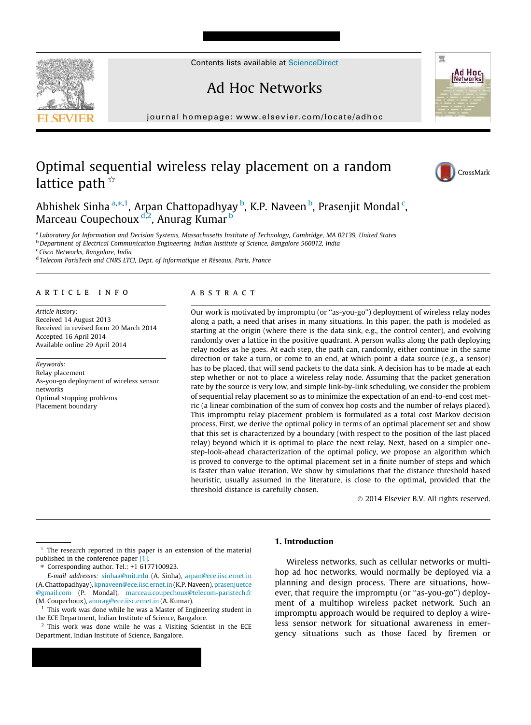

# Ad Hoc Networks

journal homepage: www.elsevier.com/locate/adhoc

# Optimal sequential wireless relay placement on a random lattice path  $\sqrt[k]{ }$

Abhishek Sinha <sup>a, $\ast,1$ </sup>, Arpan Chattopadhyay <sup>b</sup>, K.P. Naveen <sup>b</sup>, Prasenjit Mondal <sup>c</sup>, Marceau Coupechoux <sup>d,2</sup>, Anurag Kumar <sup>b</sup>

a Laboratory for Information and Decision Systems, Massachusetts Institute of Technology, Cambridge, MA 02139, United States **b** Department of Electrical Communication Engineering, Indian Institute of Science, Bangalore 560012, India

<sup>c</sup> Cisco Networks, Bangalore, India

<sup>d</sup> Telecom ParisTech and CNRS LTCI, Dept. of Informatique et Réseaux, Paris, France

#### article info

Article history: Received 14 August 2013 Received in revised form 20 March 2014 Accepted 16 April 2014 Available online 29 April 2014

Keywords: Relay placement As-you-go deployment of wireless sensor networks Optimal stopping problems Placement boundary

### **ABSTRACT**

Our work is motivated by impromptu (or ''as-you-go'') deployment of wireless relay nodes along a path, a need that arises in many situations. In this paper, the path is modeled as starting at the origin (where there is the data sink, e.g., the control center), and evolving randomly over a lattice in the positive quadrant. A person walks along the path deploying relay nodes as he goes. At each step, the path can, randomly, either continue in the same direction or take a turn, or come to an end, at which point a data source (e.g., a sensor) has to be placed, that will send packets to the data sink. A decision has to be made at each step whether or not to place a wireless relay node. Assuming that the packet generation rate by the source is very low, and simple link-by-link scheduling, we consider the problem of sequential relay placement so as to minimize the expectation of an end-to-end cost metric (a linear combination of the sum of convex hop costs and the number of relays placed). This impromptu relay placement problem is formulated as a total cost Markov decision process. First, we derive the optimal policy in terms of an optimal placement set and show that this set is characterized by a boundary (with respect to the position of the last placed relay) beyond which it is optimal to place the next relay. Next, based on a simpler onestep-look-ahead characterization of the optimal policy, we propose an algorithm which is proved to converge to the optimal placement set in a finite number of steps and which is faster than value iteration. We show by simulations that the distance threshold based heuristic, usually assumed in the literature, is close to the optimal, provided that the threshold distance is carefully chosen.

 $@$  2014 Elsevier B.V. All rights reserved.

# 1. Introduction

Wireless networks, such as cellular networks or multihop ad hoc networks, would normally be deployed via a planning and design process. There are situations, however, that require the impromptu (or ''as-you-go'') deployment of a multihop wireless packet network. Such an impromptu approach would be required to deploy a wireless sensor network for situational awareness in emergency situations such as those faced by firemen or





CrossMark

q The research reported in this paper is an extension of the material published in the conference paper [1].

<sup>⇑</sup> Corresponding author. Tel.: +1 6177100923.

E-mail addresses: sinhaa@mit.edu (A. Sinha), arpan@ece.iisc.ernet.in (A. Chattopadhyay), kpnaveen@ece.iisc.ernet.in (K.P. Naveen), prasenjuetce @gmail.com (P. Mondal), marceau.coupechoux@telecom-paristech.fr (M. Coupechoux), anurag@ece.iisc.ernet.in (A. Kumar).

<sup>&</sup>lt;sup>1</sup> This work was done while he was a Master of Engineering student in the ECE Department, Indian Institute of Science, Bangalore.

<sup>&</sup>lt;sup>2</sup> This work was done while he was a Visiting Scientist in the ECE Department, Indian Institute of Science, Bangalore.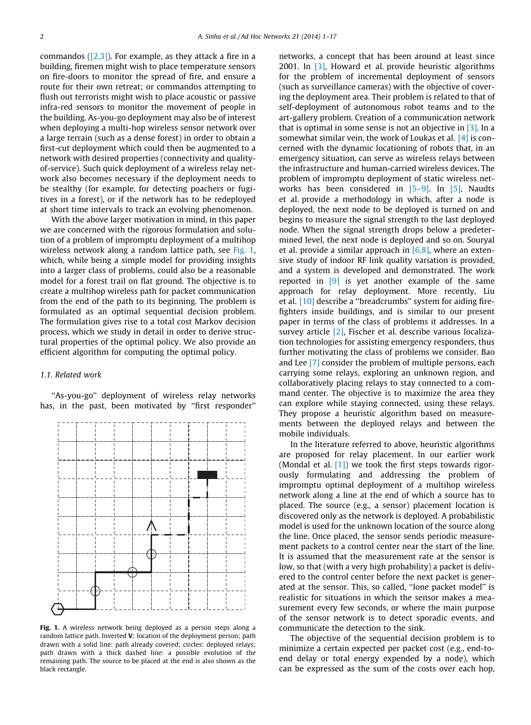commandos ( $[2,3]$ ). For example, as they attack a fire in a building, firemen might wish to place temperature sensors on fire-doors to monitor the spread of fire, and ensure a route for their own retreat; or commandos attempting to flush out terrorists might wish to place acoustic or passive infra-red sensors to monitor the movement of people in the building. As-you-go deployment may also be of interest when deploying a multi-hop wireless sensor network over a large terrain (such as a dense forest) in order to obtain a first-cut deployment which could then be augmented to a network with desired properties (connectivity and qualityof-service). Such quick deployment of a wireless relay network also becomes necessary if the deployment needs to be stealthy (for example, for detecting poachers or fugitives in a forest), or if the network has to be redeployed at short time intervals to track an evolving phenomenon.

With the above larger motivation in mind, in this paper we are concerned with the rigorous formulation and solution of a problem of impromptu deployment of a multihop wireless network along a random lattice path, see Fig. 1, which, while being a simple model for providing insights into a larger class of problems, could also be a reasonable model for a forest trail on flat ground. The objective is to create a multihop wireless path for packet communication from the end of the path to its beginning. The problem is formulated as an optimal sequential decision problem. The formulation gives rise to a total cost Markov decision process, which we study in detail in order to derive structural properties of the optimal policy. We also provide an efficient algorithm for computing the optimal policy.

#### 1.1. Related work

"As-you-go" deployment of wireless relay networks has, in the past, been motivated by "first responder"



Fig. 1. A wireless network being deployed as a person steps along a random lattice path. Inverted V: location of the deployment person; path drawn with a solid line: path already covered; circles: deployed relays; path drawn with a thick dashed line: a possible evolution of the remaining path. The source to be placed at the end is also shown as the black rectangle.

networks, a concept that has been around at least since 2001. In  $\left[3\right]$ , Howard et al. provide heuristic algorithms for the problem of incremental deployment of sensors (such as surveillance cameras) with the objective of covering the deployment area. Their problem is related to that of self-deployment of autonomous robot teams and to the art-gallery problem. Creation of a communication network that is optimal in some sense is not an objective in  $[3]$ . In a somewhat similar vein, the work of Loukas et al. [4] is concerned with the dynamic locationing of robots that, in an emergency situation, can serve as wireless relays between the infrastructure and human-carried wireless devices. The problem of impromptu deployment of static wireless networks has been considered in  $[5-9]$ . In  $[5]$ , Naudts et al. provide a methodology in which, after a node is deployed, the next node to be deployed is turned on and begins to measure the signal strength to the last deployed node. When the signal strength drops below a predetermined level, the next node is deployed and so on. Souryal et al. provide a similar approach in  $[6,8]$ , where an extensive study of indoor RF link quality variation is provided, and a system is developed and demonstrated. The work reported in  $[9]$  is yet another example of the same approach for relay deployment. More recently, Liu et al. [10] describe a "breadcrumbs" system for aiding firefighters inside buildings, and is similar to our present paper in terms of the class of problems it addresses. In a survey article [2], Fischer et al. describe various localization technologies for assisting emergency responders, thus further motivating the class of problems we consider. Bao and Lee [7] consider the problem of multiple persons, each carrying some relays, exploring an unknown region, and collaboratively placing relays to stay connected to a command center. The objective is to maximize the area they can explore while staying connected, using these relays. They propose a heuristic algorithm based on measurements between the deployed relays and between the mobile individuals.

In the literature referred to above, heuristic algorithms are proposed for relay placement. In our earlier work (Mondal et al.  $[1]$ ) we took the first steps towards rigorously formulating and addressing the problem of impromptu optimal deployment of a multihop wireless network along a line at the end of which a source has to placed. The source (e.g., a sensor) placement location is discovered only as the network is deployed. A probabilistic model is used for the unknown location of the source along the line. Once placed, the sensor sends periodic measurement packets to a control center near the start of the line. It is assumed that the measurement rate at the sensor is low, so that (with a very high probability) a packet is delivered to the control center before the next packet is generated at the sensor. This, so called, ''lone packet model'' is realistic for situations in which the sensor makes a measurement every few seconds, or where the main purpose of the sensor network is to detect sporadic events, and communicate the detection to the sink.

The objective of the sequential decision problem is to minimize a certain expected per packet cost (e.g., end-toend delay or total energy expended by a node), which can be expressed as the sum of the costs over each hop,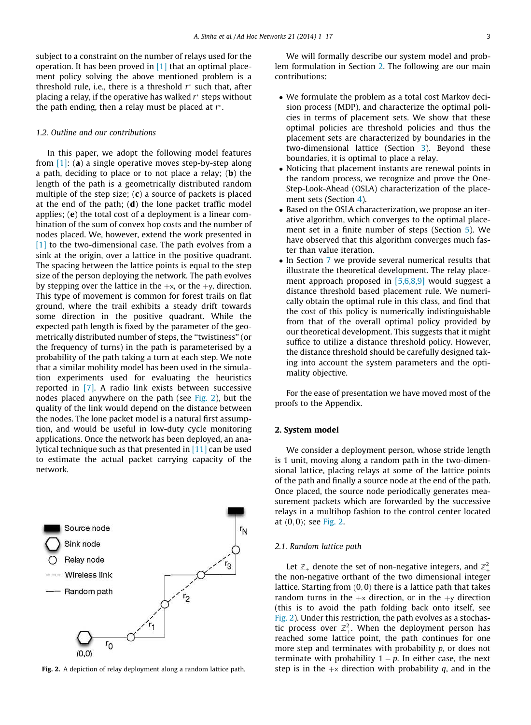subject to a constraint on the number of relays used for the operation. It has been proved in [1] that an optimal placement policy solving the above mentioned problem is a threshold rule, i.e., there is a threshold  $r^*$  such that, after placing a relay, if the operative has walked  $r^*$  steps without the path ending, then a relay must be placed at  $r^*$ .

### 1.2. Outline and our contributions

In this paper, we adopt the following model features from [1]: (a) a single operative moves step-by-step along a path, deciding to place or to not place a relay;  $(b)$  the length of the path is a geometrically distributed random multiple of the step size;  $(c)$  a source of packets is placed at the end of the path;  $(d)$  the lone packet traffic model applies; (e) the total cost of a deployment is a linear combination of the sum of convex hop costs and the number of nodes placed. We, however, extend the work presented in [1] to the two-dimensional case. The path evolves from a sink at the origin, over a lattice in the positive quadrant. The spacing between the lattice points is equal to the step size of the person deploying the network. The path evolves by stepping over the lattice in the  $+x$ , or the  $+y$ , direction. This type of movement is common for forest trails on flat ground, where the trail exhibits a steady drift towards some direction in the positive quadrant. While the expected path length is fixed by the parameter of the geometrically distributed number of steps, the ''twistiness'' (or the frequency of turns) in the path is parameterised by a probability of the path taking a turn at each step. We note that a similar mobility model has been used in the simulation experiments used for evaluating the heuristics reported in [7]. A radio link exists between successive nodes placed anywhere on the path (see Fig. 2), but the quality of the link would depend on the distance between the nodes. The lone packet model is a natural first assumption, and would be useful in low-duty cycle monitoring applications. Once the network has been deployed, an analytical technique such as that presented in [11] can be used to estimate the actual packet carrying capacity of the network.



We will formally describe our system model and problem formulation in Section 2. The following are our main contributions:

- We formulate the problem as a total cost Markov decision process (MDP), and characterize the optimal policies in terms of placement sets. We show that these optimal policies are threshold policies and thus the placement sets are characterized by boundaries in the two-dimensional lattice (Section 3). Beyond these boundaries, it is optimal to place a relay.
- Noticing that placement instants are renewal points in the random process, we recognize and prove the One-Step-Look-Ahead (OSLA) characterization of the placement sets (Section 4).
- Based on the OSLA characterization, we propose an iterative algorithm, which converges to the optimal placement set in a finite number of steps (Section 5). We have observed that this algorithm converges much faster than value iteration.
- In Section 7 we provide several numerical results that illustrate the theoretical development. The relay placement approach proposed in [5,6,8,9] would suggest a distance threshold based placement rule. We numerically obtain the optimal rule in this class, and find that the cost of this policy is numerically indistinguishable from that of the overall optimal policy provided by our theoretical development. This suggests that it might suffice to utilize a distance threshold policy. However, the distance threshold should be carefully designed taking into account the system parameters and the optimality objective.

For the ease of presentation we have moved most of the proofs to the Appendix.

#### 2. System model

We consider a deployment person, whose stride length is 1 unit, moving along a random path in the two-dimensional lattice, placing relays at some of the lattice points of the path and finally a source node at the end of the path. Once placed, the source node periodically generates measurement packets which are forwarded by the successive relays in a multihop fashion to the control center located at  $(0, 0)$ ; see Fig. 2.

#### 2.1. Random lattice path

Let  $\mathbb{Z}_+$  denote the set of non-negative integers, and  $\mathbb{Z}_+^2$ the non-negative orthant of the two dimensional integer lattice. Starting from  $(0,0)$  there is a lattice path that takes random turns in the  $+x$  direction, or in the  $+y$  direction (this is to avoid the path folding back onto itself, see Fig. 2). Under this restriction, the path evolves as a stochastic process over  $\mathbb{Z}_+^2$ . When the deployment person has reached some lattice point, the path continues for one more step and terminates with probability p, or does not terminate with probability  $1 - p$ . In either case, the next Fig. 2. A depiction of relay deployment along a random lattice path. Step is in the  $+x$  direction with probability q, and in the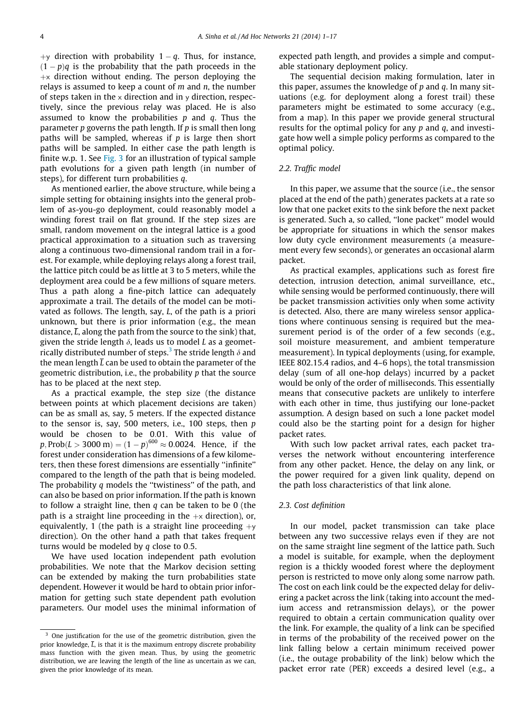+y direction with probability  $1 - q$ . Thus, for instance,  $(1 - p)q$  is the probability that the path proceeds in the  $+x$  direction without ending. The person deploying the relays is assumed to keep a count of  $m$  and  $n$ , the number of steps taken in the  $\times$  direction and in  $\times$  direction, respectively, since the previous relay was placed. He is also assumed to know the probabilities  $p$  and  $q$ . Thus the parameter  $p$  governs the path length. If  $p$  is small then long paths will be sampled, whereas if  $p$  is large then short paths will be sampled. In either case the path length is finite w.p. 1. See Fig. 3 for an illustration of typical sample path evolutions for a given path length (in number of steps), for different turn probabilities q.

As mentioned earlier, the above structure, while being a simple setting for obtaining insights into the general problem of as-you-go deployment, could reasonably model a winding forest trail on flat ground. If the step sizes are small, random movement on the integral lattice is a good practical approximation to a situation such as traversing along a continuous two-dimensional random trail in a forest. For example, while deploying relays along a forest trail, the lattice pitch could be as little at 3 to 5 meters, while the deployment area could be a few millions of square meters. Thus a path along a fine-pitch lattice can adequately approximate a trail. The details of the model can be motivated as follows. The length, say, L, of the path is a priori unknown, but there is prior information (e.g., the mean distance,  $\overline{L}$ , along the path from the source to the sink) that, given the stride length  $\delta$ , leads us to model L as a geometrically distributed number of steps.<sup>3</sup> The stride length  $\delta$  and the mean length  $\overline{L}$  can be used to obtain the parameter of the geometric distribution, i.e., the probability  $p$  that the source has to be placed at the next step.

As a practical example, the step size (the distance between points at which placement decisions are taken) can be as small as, say, 5 meters. If the expected distance to the sensor is, say, 500 meters, i.e., 100 steps, then p would be chosen to be 0:01. With this value of  $p, \text{Prob}(L > 3000 \text{ m}) = (1 - p)^{600} \approx 0.0024.$  Hence, if the forest under consideration has dimensions of a few kilometers, then these forest dimensions are essentially ''infinite'' compared to the length of the path that is being modeled. The probability q models the ''twistiness'' of the path, and can also be based on prior information. If the path is known to follow a straight line, then  $q$  can be taken to be 0 (the path is a straight line proceeding in the  $+x$  direction), or, equivalently, 1 (the path is a straight line proceeding  $+y$ direction). On the other hand a path that takes frequent turns would be modeled by  $q$  close to 0.5.

We have used location independent path evolution probabilities. We note that the Markov decision setting can be extended by making the turn probabilities state dependent. However it would be hard to obtain prior information for getting such state dependent path evolution parameters. Our model uses the minimal information of expected path length, and provides a simple and computable stationary deployment policy.

The sequential decision making formulation, later in this paper, assumes the knowledge of  $p$  and  $q$ . In many situations (e.g. for deployment along a forest trail) these parameters might be estimated to some accuracy (e.g., from a map). In this paper we provide general structural results for the optimal policy for any  $p$  and  $q$ , and investigate how well a simple policy performs as compared to the optimal policy.

#### 2.2. Traffic model

In this paper, we assume that the source (i.e., the sensor placed at the end of the path) generates packets at a rate so low that one packet exits to the sink before the next packet is generated. Such a, so called, ''lone packet'' model would be appropriate for situations in which the sensor makes low duty cycle environment measurements (a measurement every few seconds), or generates an occasional alarm packet.

As practical examples, applications such as forest fire detection, intrusion detection, animal surveillance, etc., while sensing would be performed continuously, there will be packet transmission activities only when some activity is detected. Also, there are many wireless sensor applications where continuous sensing is required but the measurement period is of the order of a few seconds (e.g., soil moisture measurement, and ambient temperature measurement). In typical deployments (using, for example, IEEE 802.15.4 radios, and 4–6 hops), the total transmission delay (sum of all one-hop delays) incurred by a packet would be only of the order of milliseconds. This essentially means that consecutive packets are unlikely to interfere with each other in time, thus justifying our lone-packet assumption. A design based on such a lone packet model could also be the starting point for a design for higher packet rates.

With such low packet arrival rates, each packet traverses the network without encountering interference from any other packet. Hence, the delay on any link, or the power required for a given link quality, depend on the path loss characteristics of that link alone.

#### 2.3. Cost definition

In our model, packet transmission can take place between any two successive relays even if they are not on the same straight line segment of the lattice path. Such a model is suitable, for example, when the deployment region is a thickly wooded forest where the deployment person is restricted to move only along some narrow path. The cost on each link could be the expected delay for delivering a packet across the link (taking into account the medium access and retransmission delays), or the power required to obtain a certain communication quality over the link. For example, the quality of a link can be specified in terms of the probability of the received power on the link falling below a certain minimum received power (i.e., the outage probability of the link) below which the packet error rate (PER) exceeds a desired level (e.g., a

<sup>3</sup> One justification for the use of the geometric distribution, given the prior knowledge,  $\overline{L}$ , is that it is the maximum entropy discrete probability mass function with the given mean. Thus, by using the geometric distribution, we are leaving the length of the line as uncertain as we can, given the prior knowledge of its mean.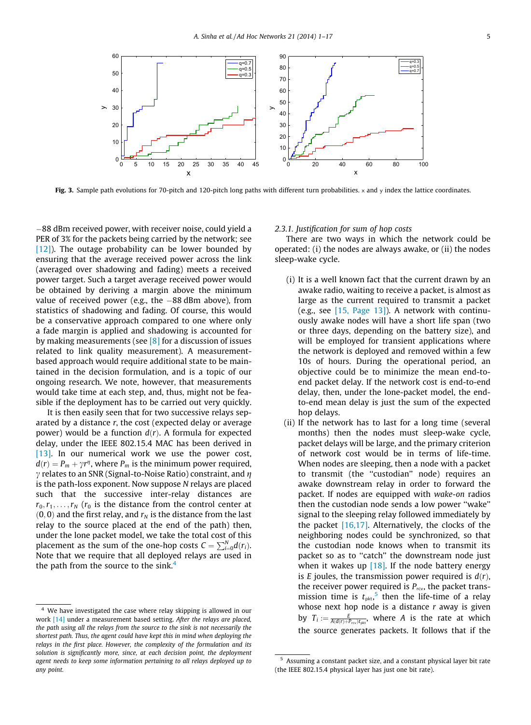

Fig. 3. Sample path evolutions for 70-pitch and 120-pitch long paths with different turn probabilities.  $\times$  and  $\gamma$  index the lattice coordinates.

 $-88$  dBm received power, with receiver noise, could yield a PER of 3% for the packets being carried by the network; see  $[12]$ ). The outage probability can be lower bounded by ensuring that the average received power across the link (averaged over shadowing and fading) meets a received power target. Such a target average received power would be obtained by deriving a margin above the minimum value of received power (e.g., the  $-88$  dBm above), from statistics of shadowing and fading. Of course, this would be a conservative approach compared to one where only a fade margin is applied and shadowing is accounted for by making measurements (see [8] for a discussion of issues related to link quality measurement). A measurementbased approach would require additional state to be maintained in the decision formulation, and is a topic of our ongoing research. We note, however, that measurements would take time at each step, and, thus, might not be feasible if the deployment has to be carried out very quickly.

It is then easily seen that for two successive relays separated by a distance  $r$ , the cost (expected delay or average power) would be a function  $d(r)$ . A formula for expected delay, under the IEEE 802.15.4 MAC has been derived in [13]. In our numerical work we use the power cost,  $d(r) = P_m + \gamma r^{\eta}$ , where  $P_m$  is the minimum power required,  $\gamma$  relates to an SNR (Signal-to-Noise Ratio) constraint, and  $\eta$ is the path-loss exponent. Now suppose N relays are placed such that the successive inter-relay distances are  $r_0, r_1, \ldots, r_N$  ( $r_0$  is the distance from the control center at  $(0, 0)$  and the first relay, and  $r_N$  is the distance from the last relay to the source placed at the end of the path) then, under the lone packet model, we take the total cost of this placement as the sum of the one-hop costs  $\mathcal{C} = \sum_{i=0}^N \! d(r_i).$ Note that we require that all deployed relays are used in the path from the source to the sink.<sup>4</sup>

#### 2.3.1. Justification for sum of hop costs

There are two ways in which the network could be operated: (i) the nodes are always awake, or (ii) the nodes sleep-wake cycle.

- (i) It is a well known fact that the current drawn by an awake radio, waiting to receive a packet, is almost as large as the current required to transmit a packet (e.g., see [15, Page 13]). A network with continuously awake nodes will have a short life span (two or three days, depending on the battery size), and will be employed for transient applications where the network is deployed and removed within a few 10s of hours. During the operational period, an objective could be to minimize the mean end-toend packet delay. If the network cost is end-to-end delay, then, under the lone-packet model, the endto-end mean delay is just the sum of the expected hop delays.
- (ii) If the network has to last for a long time (several months) then the nodes must sleep-wake cycle, packet delays will be large, and the primary criterion of network cost would be in terms of life-time. When nodes are sleeping, then a node with a packet to transmit (the "custodian" node) requires an awake downstream relay in order to forward the packet. If nodes are equipped with wake-on radios then the custodian node sends a low power ''wake'' signal to the sleeping relay followed immediately by the packet  $[16,17]$ . Alternatively, the clocks of the neighboring nodes could be synchronized, so that the custodian node knows when to transmit its packet so as to ''catch'' the downstream node just when it wakes up  $[18]$ . If the node battery energy is E joules, the transmission power required is  $d(r)$ , the receiver power required is  $P_{\text{rcv}}$ , the packet transmission time is  $t_{\rm{pkt}}$ ,<sup>5</sup> then the life-time of a relay whose next hop node is a distance  $r$  away is given by  $T_i := \frac{E}{A(d(r)+P_{rcv})t_{pkt}}$ , where A is the rate at which the source generates packets. It follows that if the

<sup>4</sup> We have investigated the case where relay skipping is allowed in our work [14] under a measurement based setting. After the relays are placed, the path using all the relays from the source to the sink is not necessarily the shortest path. Thus, the agent could have kept this in mind when deploying the relays in the first place. However, the complexity of the formulation and its solution is significantly more, since, at each decision point, the deployment agent needs to keep some information pertaining to all relays deployed up to any point.

<sup>5</sup> Assuming a constant packet size, and a constant physical layer bit rate (the IEEE 802.15.4 physical layer has just one bit rate).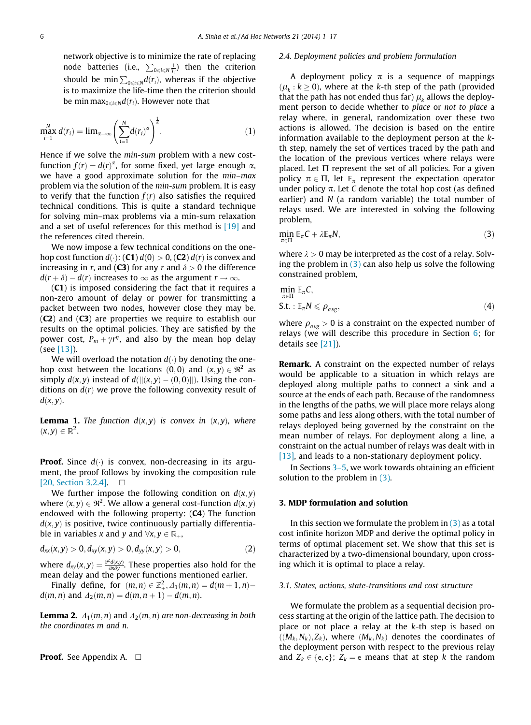network objective is to minimize the rate of replacing node batteries (i.e.,  $\sum_{0\leqslant i\leqslant N} \frac{1}{T_i}$ ) then the criterion should be min $\sum_{0\leqslant i\leqslant N}d(r_i)$ , whereas if the objective is to maximize the life-time then the criterion should be min max $_{0\leq i\leq N}d(r_i)$ . However note that

$$
\max_{i=1}^N d(r_i) = \lim_{\alpha \to \infty} \left( \sum_{i=1}^N d(r_i)^{\alpha} \right)^{\frac{1}{\alpha}}.
$$
 (1)

Hence if we solve the min-sum problem with a new costfunction  $f(r) = d(r)^{\alpha}$ , for some fixed, yet large enough  $\alpha$ , we have a good approximate solution for the min–max problem via the solution of the min-sum problem. It is easy to verify that the function  $f(r)$  also satisfies the required technical conditions. This is quite a standard technique for solving min–max problems via a min-sum relaxation and a set of useful references for this method is [19] and the references cited therein.

We now impose a few technical conditions on the onehop cost function  $d(\cdot)$ : (C1)  $d(0) > 0$ , (C2)  $d(r)$  is convex and increasing in r, and (C3) for any r and  $\delta > 0$  the difference  $d(r + \delta) - d(r)$  increases to  $\infty$  as the argument  $r \to \infty$ .

(C1) is imposed considering the fact that it requires a non-zero amount of delay or power for transmitting a packet between two nodes, however close they may be. (C2) and (C3) are properties we require to establish our results on the optimal policies. They are satisfied by the power cost,  $P_m + \gamma r^{\eta}$ , and also by the mean hop delay (see [13]).

We will overload the notation  $d(\cdot)$  by denoting the onehop cost between the locations  $(0,0)$  and  $(x,y) \in \Re^2$  as simply  $d(x, y)$  instead of  $d(||(x, y) - (0, 0)||)$ . Using the conditions on  $d(r)$  we prove the following convexity result of  $d(x, y)$ .

**Lemma 1.** The function  $d(x, y)$  is convex in  $(x, y)$ , where  $(x,y) \in \mathbb{R}^2$ .

**Proof.** Since  $d(\cdot)$  is convex, non-decreasing in its argument, the proof follows by invoking the composition rule [20, Section 3.2.4].  $\Box$ 

We further impose the following condition on  $d(x, y)$ where  $(x, y) \in \Re^2$ . We allow a general cost-function  $d(x, y)$ endowed with the following property: (C4) The function  $d(x, y)$  is positive, twice continuously partially differentiable in variables x and y and  $\forall x, y \in \mathbb{R}_+$ ,

$$
d_{xx}(x, y) > 0, d_{xy}(x, y) > 0, d_{yy}(x, y) > 0,
$$
\n(2)

where  $d_{xy}(x,y) = \frac{\partial^2 d(x,y)}{\partial x \partial y}$ . These properties also hold for the mean delay and the power functions mentioned earlier.

Finally define, for  $(m, n) \in \mathbb{Z}_+^2$ ,  $\Delta_1(m, n) = d(m + 1, n)$  $d(m, n)$  and  $\Delta_2(m, n) = d(m, n + 1) - d(m, n)$ .

**Lemma 2.**  $\Delta_1(m, n)$  and  $\Delta_2(m, n)$  are non-decreasing in both the coordinates m and n.

**Proof.** See Appendix A.  $\Box$ 

#### 2.4. Deployment policies and problem formulation

A deployment policy  $\pi$  is a sequence of mappings  $(\mu_k : k \geq 0)$ , where at the k-th step of the path (provided that the path has not ended thus far)  $\mu_k$  allows the deployment person to decide whether to place or not to place a relay where, in general, randomization over these two actions is allowed. The decision is based on the entire information available to the deployment person at the kth step, namely the set of vertices traced by the path and the location of the previous vertices where relays were placed. Let  $\Pi$  represent the set of all policies. For a given policy  $\pi \in \Pi$ , let  $\mathbb{E}_{\pi}$  represent the expectation operator under policy  $\pi$ . Let C denote the total hop cost (as defined earlier) and  $N$  (a random variable) the total number of relays used. We are interested in solving the following problem,

$$
\min_{\pi \in \Pi} \mathbb{E}_{\pi} C + \lambda \mathbb{E}_{\pi} N,\tag{3}
$$

where  $\lambda > 0$  may be interpreted as the cost of a relay. Solving the problem in  $(3)$  can also help us solve the following constrained problem,

$$
\min_{\pi \in \Pi} \mathbb{E}_{\pi} C,
$$
  
S.t. :  $\mathbb{E}_{\pi} N \leq \rho_{avg}$ , (4)

where  $\rho_{avg} > 0$  is a constraint on the expected number of relays (we will describe this procedure in Section 6; for details see [21]).

Remark. A constraint on the expected number of relays would be applicable to a situation in which relays are deployed along multiple paths to connect a sink and a source at the ends of each path. Because of the randomness in the lengths of the paths, we will place more relays along some paths and less along others, with the total number of relays deployed being governed by the constraint on the mean number of relays. For deployment along a line, a constraint on the actual number of relays was dealt with in [13], and leads to a non-stationary deployment policy.

In Sections 3–5, we work towards obtaining an efficient solution to the problem in (3).

#### 3. MDP formulation and solution

In this section we formulate the problem in  $(3)$  as a total cost infinite horizon MDP and derive the optimal policy in terms of optimal placement set. We show that this set is characterized by a two-dimensional boundary, upon crossing which it is optimal to place a relay.

#### 3.1. States, actions, state-transitions and cost structure

We formulate the problem as a sequential decision process starting at the origin of the lattice path. The decision to place or not place a relay at the  $k$ -th step is based on  $((M_k, N_k), Z_k)$ , where  $(M_k, N_k)$  denotes the coordinates of the deployment person with respect to the previous relay and  $Z_k \in \{e, c\}$ ;  $Z_k = e$  means that at step k the random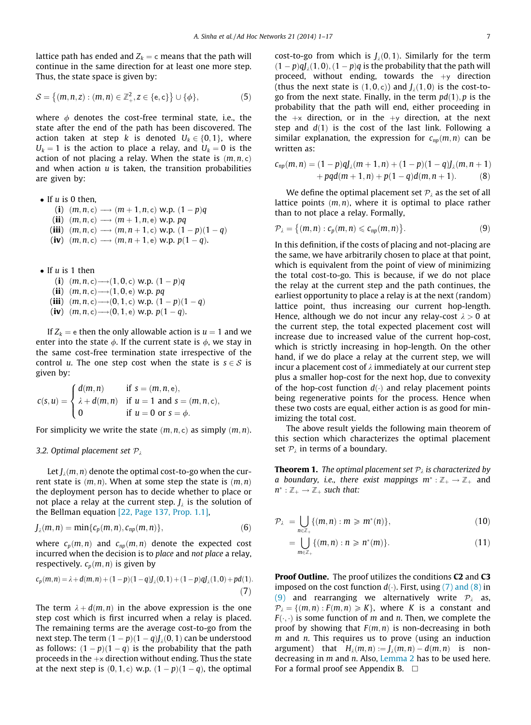lattice path has ended and  $Z_k = c$  means that the path will continue in the same direction for at least one more step. Thus, the state space is given by:

$$
S = \{(m, n, z) : (m, n) \in \mathbb{Z}_+^2, z \in \{e, c\}\} \cup \{\phi\},\tag{5}
$$

where  $\phi$  denotes the cost-free terminal state, i.e., the state after the end of the path has been discovered. The action taken at step k is denoted  $U_k \in \{0, 1\}$ , where  $U_k = 1$  is the action to place a relay, and  $U_k = 0$  is the action of not placing a relay. When the state is  $(m, n, c)$ and when action  $u$  is taken, the transition probabilities are given by:

\n- If 
$$
u
$$
 is 0 then,
\n- (i)  $(m, n, c) \rightarrow (m + 1, n, c)$  w.p.  $(1 - p)q$
\n- (ii)  $(m, n, c) \rightarrow (m + 1, n, e)$  w.p.  $pq$
\n- (iii)  $(m, n, c) \rightarrow (m, n + 1, c)$  w.p.  $(1 - p)(1 - q)$
\n

- (iv)  $(m, n, c) \longrightarrow (m, n + 1, e)$  w.p.  $p(1 q)$ .
- $\bullet$  If u is 1 then (i)  $(m, n, c) \rightarrow (1, 0, c)$  w.p.  $(1 - p)q$ (ii)  $(m, n, c) \rightarrow (1, 0, e)$  w.p. pq
	- (iii)  $(m, n, c) \rightarrow (0, 1, c)$  w.p.  $(1 p)(1 q)$
	- (iv)  $(m, n, c) \rightarrow (0, 1, e)$  w.p.  $p(1 q)$ .
	-

If  $Z_k = e$  then the only allowable action is  $u = 1$  and we enter into the state  $\phi$ . If the current state is  $\phi$ , we stay in the same cost-free termination state irrespective of the control u. The one step cost when the state is  $s \in S$  is given by:

$$
c(s, u) = \begin{cases} d(m, n) & \text{if } s = (m, n, e), \\ \lambda + d(m, n) & \text{if } u = 1 \text{ and } s = (m, n, c), \\ 0 & \text{if } u = 0 \text{ or } s = \phi. \end{cases}
$$

For simplicity we write the state  $(m, n, c)$  as simply  $(m, n)$ .

#### 3.2. Optimal placement set  $P_i$

Let $J_\lambda(m,n)$  denote the optimal cost-to-go when the current state is  $(m, n)$ . When at some step the state is  $(m, n)$ the deployment person has to decide whether to place or not place a relay at the current step.  $J_\lambda$  is the solution of the Bellman equation [22, Page 137, Prop. 1.1],

$$
J_{\lambda}(m,n)=\min\{c_p(m,n),c_{np}(m,n)\},\qquad(6)
$$

where  $c_p(m, n)$  and  $c_{np}(m, n)$  denote the expected cost incurred when the decision is to place and not place a relay, respectively.  $c_p(m, n)$  is given by

$$
c_p(m,n) = \lambda + d(m,n) + (1-p)(1-q)J_{\lambda}(0,1) + (1-p)qJ_{\lambda}(1,0) + pd(1).
$$
\n(7)

The term  $\lambda + d(m, n)$  in the above expression is the one step cost which is first incurred when a relay is placed. The remaining terms are the average cost-to-go from the next step. The term  $(1-p)(1-q)J_{\lambda}(0,1)$  can be understood as follows:  $(1 - p)(1 - q)$  is the probability that the path proceeds in the  $+x$  direction without ending. Thus the state at the next step is  $(0, 1, c)$  w.p.  $(1 - p)(1 - q)$ , the optimal

cost-to-go from which is  $J_{\lambda}(0,1)$ . Similarly for the term  $(1-p)qJ_{\lambda}(1,0)$ ,  $(1-p)q$  is the probability that the path will proceed, without ending, towards the  $+v$  direction (thus the next state is  $(1,0,\infty)$ ) and  $J_{\lambda}(1,0)$  is the cost-togo from the next state. Finally, in the term  $pd(1)$ , p is the probability that the path will end, either proceeding in the  $+x$  direction, or in the  $+y$  direction, at the next step and  $d(1)$  is the cost of the last link. Following a similar explanation, the expression for  $c_{nn}(m, n)$  can be written as:

$$
c_{np}(m,n) = (1-p)qJ_{\lambda}(m+1,n) + (1-p)(1-q)J_{\lambda}(m,n+1) + pqd(m+1,n) + p(1-q)d(m,n+1).
$$
 (8)

We define the optimal placement set  $P_i$  as the set of all lattice points  $(m, n)$ , where it is optimal to place rather than to not place a relay. Formally,

$$
\mathcal{P}_{\lambda} = \{(m, n) : c_p(m, n) \leqslant c_{np}(m, n)\}.
$$
 (9)

In this definition, if the costs of placing and not-placing are the same, we have arbitrarily chosen to place at that point, which is equivalent from the point of view of minimizing the total cost-to-go. This is because, if we do not place the relay at the current step and the path continues, the earliest opportunity to place a relay is at the next (random) lattice point, thus increasing our current hop-length. Hence, although we do not incur any relay-cost  $\lambda > 0$  at the current step, the total expected placement cost will increase due to increased value of the current hop-cost, which is strictly increasing in hop-length. On the other hand, if we do place a relay at the current step, we will incur a placement cost of  $\lambda$  immediately at our current step plus a smaller hop-cost for the next hop, due to convexity of the hop-cost function  $d(\cdot)$  and relay placement points being regenerative points for the process. Hence when these two costs are equal, either action is as good for minimizing the total cost.

The above result yields the following main theorem of this section which characterizes the optimal placement set  $P_{\lambda}$  in terms of a boundary.

**Theorem 1.** The optimal placement set  $P_\lambda$  is characterized by a boundary, i.e., there exist mappings  $m^* : \mathbb{Z}_+ \to \mathbb{Z}_+$  and  $n^* : \mathbb{Z}_+ \to \mathbb{Z}_+$  such that:

$$
\mathcal{P}_{\lambda} = \bigcup_{n \in \mathbb{Z}_+} \{ (m, n) : m \geqslant m^*(n) \},\tag{10}
$$

$$
= \bigcup_{m \in \mathbb{Z}_+} \{ (m, n) : n \geqslant n^*(m) \}. \tag{11}
$$

Proof Outline. The proof utilizes the conditions C2 and C3 imposed on the cost function  $d(\cdot)$ . First, using (7) and (8) in (9) and rearranging we alternatively write  $P_{\lambda}$  as,  $\mathcal{P}_{\lambda} = \{(m, n) : F(m, n) \geq K\}$ , where K is a constant and  $F(\cdot, \cdot)$  is some function of m and n. Then, we complete the proof by showing that  $F(m, n)$  is non-decreasing in both  $m$  and  $n$ . This requires us to prove (using an induction argument) that  $H_{\lambda}(m, n) := J_{\lambda}(m, n) - d(m, n)$  is nondecreasing in  $m$  and  $n$ . Also, Lemma 2 has to be used here. For a formal proof see Appendix B.  $\Box$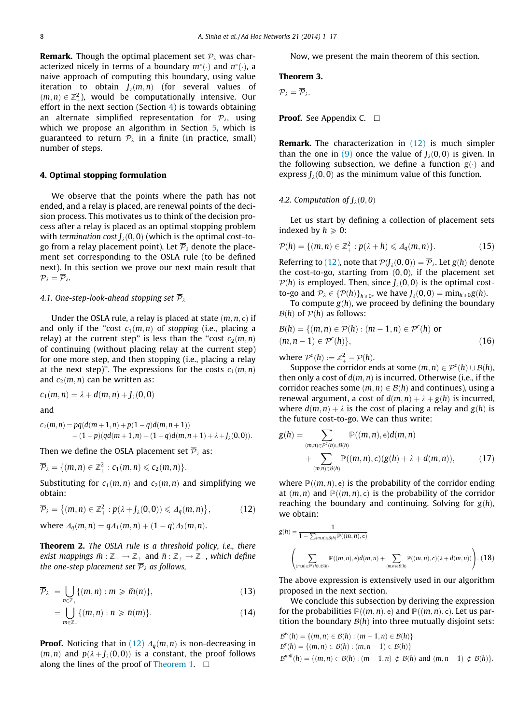**Remark.** Though the optimal placement set  $P_k$  was characterized nicely in terms of a boundary  $m^*(\cdot)$  and  $n^*(\cdot)$ , a naive approach of computing this boundary, using value iteration to obtain  $J_\lambda(m,n)$  (for several values of  $(m, n) \in \mathbb{Z}_+^2$ , would be computationally intensive. Our effort in the next section (Section 4) is towards obtaining an alternate simplified representation for  $P_{\lambda}$ , using which we propose an algorithm in Section 5, which is guaranteed to return  $P_{\lambda}$  in a finite (in practice, small) number of steps.

#### 4. Optimal stopping formulation

We observe that the points where the path has not ended, and a relay is placed, are renewal points of the decision process. This motivates us to think of the decision process after a relay is placed as an optimal stopping problem with *termination cost*  $J_\lambda(0,0)$  (which is the optimal cost-togo from a relay placement point). Let  $\overline{P}_i$  denote the placement set corresponding to the OSLA rule (to be defined next). In this section we prove our next main result that  $\mathcal{P}_i = \overline{\mathcal{P}}_{i.}$ 

#### 4.1. One-step-look-ahead stopping set  $\overline{P}_k$

Under the OSLA rule, a relay is placed at state  $(m, n, c)$  if and only if the "cost  $c_1(m, n)$  of stopping (i.e., placing a relay) at the current step" is less than the "cost  $c_2(m, n)$ of continuing (without placing relay at the current step) for one more step, and then stopping (i.e., placing a relay at the next step)". The expressions for the costs  $c_1(m, n)$ and  $c_2(m, n)$  can be written as:

 $c_1(m, n) = \lambda + d(m, n) + J_{\lambda}(0, 0)$ 

and

$$
\begin{aligned}c_2(m,n)=pq(d(m+1,n)+p(1-q)d(m,n+1))\\ &+(1-p)(qd(m+1,n)+(1-q)d(m,n+1)+\lambda+J_{\lambda}(0,0)).\end{aligned}
$$

Then we define the OSLA placement set  $\overline{P}_\lambda$  as:

$$
\overline{P}_{\lambda} = \{ (m,n) \in \mathbb{Z}_+^2 : c_1(m,n) \leqslant c_2(m,n) \}.
$$

Substituting for  $c_1(m, n)$  and  $c_2(m, n)$  and simplifying we obtain:

$$
\overline{\mathcal{P}}_{\lambda} = \{ (m, n) \in \mathbb{Z}_{+}^{2} : p(\lambda + J_{\lambda}(0, 0)) \leq \Lambda_{q}(m, n) \},
$$
 (12)

where  $\Delta_q(m, n) = q\Delta_1(m, n) + (1 - q)\Delta_2(m, n)$ .

Theorem 2. The OSLA rule is a threshold policy, i.e., there exist mappings  $\bar{m}: \mathbb{Z}_+ \to \mathbb{Z}_+$  and  $\bar{n}: \mathbb{Z}_+ \to \mathbb{Z}_+$ , which define the one-step placement set  $\overline{P}_{\lambda}$  as follows,

$$
\overline{\mathcal{P}}_{\lambda} = \bigcup_{n \in \mathbb{Z}_+} \{ (m, n) : m \geqslant \overline{m}(n) \},\tag{13}
$$

$$
= \bigcup_{m \in \mathbb{Z}_+} \{ (m, n) : n \geqslant \bar{n}(m) \}. \tag{14}
$$

**Proof.** Noticing that in (12)  $\Delta_q(m, n)$  is non-decreasing in  $(m, n)$  and  $p(\lambda + J_{\lambda}(0, 0))$  is a constant, the proof follows along the lines of the proof of Theorem 1.  $\Box$ 

Now, we present the main theorem of this section.

#### Theorem 3.

 $\mathcal{P}_\lambda = \overline{\mathcal{P}}_\lambda.$ 

#### **Proof.** See Appendix C.  $\Box$

**Remark.** The characterization in  $(12)$  is much simpler than the one in (9) once the value of  $J_{\lambda}(0,0)$  is given. In the following subsection, we define a function  $g(\cdot)$  and express  $J_\lambda(0,0)$  as the minimum value of this function.

## 4.2. Computation of  $J_{\lambda}(0,0)$

Let us start by defining a collection of placement sets indexed by  $h \ge 0$ :

$$
\mathcal{P}(h) = \{ (m,n) \in \mathbb{Z}_+^2 : p(\lambda + h) \leqslant \Delta_q(m,n) \}. \tag{15}
$$

Referring to (12), note that  $\mathcal{P}(J_\lambda(0,0)) = \overline{\mathcal{P}}_\lambda$ . Let  $g(h)$  denote the cost-to-go, starting from  $(0,0)$ , if the placement set  $\mathcal{P}(h)$  is employed. Then, since  $J_\lambda(0,0)$  is the optimal costto-go and  $\mathcal{P}_{\lambda} \in {\{\mathcal{P}(h)\}}_{h \geqslant 0}$ , we have  $J_{\lambda}(0,0) = \min_{h \geqslant 0} g(h)$ .

To compute  $g(h)$ , we proceed by defining the boundary  $\mathcal{B}(h)$  of  $\mathcal{P}(h)$  as follows:

$$
\mathcal{B}(h) = \{(m, n) \in \mathcal{P}(h) : (m - 1, n) \in \mathcal{P}^c(h) \text{ or } (m, n - 1) \in \mathcal{P}^c(h)\},\tag{16}
$$

where  $\mathcal{P}^c(h) := \mathbb{Z}_+^2 - \mathcal{P}(h)$ .

Suppose the corridor ends at some  $(m, n) \in \mathcal{P}^{c}(h) \cup \mathcal{B}(h)$ , then only a cost of  $d(m, n)$  is incurred. Otherwise (i.e., if the corridor reaches some  $(m, n) \in \mathcal{B}(h)$  and continues), using a renewal argument, a cost of  $d(m, n) + \lambda + g(h)$  is incurred, where  $d(m, n) + \lambda$  is the cost of placing a relay and  $g(h)$  is the future cost-to-go. We can thus write:

$$
g(h) = \sum_{\substack{(m,n)\in \mathcal{P}^c(h)\cup\mathcal{B}(h)\\(m,n)\in \mathcal{B}(h)}} \mathbb{P}((m,n),e)d(m,n) + \sum_{\substack{(m,n)\in \mathcal{B}(h)\\(m,n)\in \mathcal{B}(h)}} \mathbb{P}((m,n),c)(g(h) + \lambda + d(m,n)),
$$
 (17)

where  $\mathbb{P}((m, n), e)$  is the probability of the corridor ending at  $(m, n)$  and  $\mathbb{P}((m, n), c)$  is the probability of the corridor reaching the boundary and continuing. Solving for  $g(h)$ , we obtain:

$$
g(h) = \frac{1}{1 - \sum_{(m,n) \in \mathcal{B}(h)} \mathbb{P}((m,n), \mathbf{c})}
$$

$$
\left(\sum_{(m,n) \in \mathcal{P}^{(\mathbf{c})}(\mathbf{b}) \cup \mathcal{B}(h)} \mathbb{P}((m,n), \mathbf{e}) d(m,n) + \sum_{(m,n) \in \mathcal{B}(h)} \mathbb{P}((m,n), \mathbf{c}) (\lambda + d(m,n))\right). (18)
$$

The above expression is extensively used in our algorithm proposed in the next section.

We conclude this subsection by deriving the expression for the probabilities  $P((m, n), e)$  and  $P((m, n), c)$ . Let us partition the boundary  $B(h)$  into three mutually disjoint sets:

$$
\begin{aligned} \mathcal{B}^{\mathsf{w}}(h) &= \{ (m, n) \in \mathcal{B}(h) : (m - 1, n) \in \mathcal{B}(h) \} \\ \mathcal{B}^{\mathsf{s}}(h) &= \{ (m, n) \in \mathcal{B}(h) : (m, n - 1) \in \mathcal{B}(h) \} \\ \mathcal{B}^{\text{null}}(h) &= \{ (m, n) \in \mathcal{B}(h) : (m - 1, n) \notin \mathcal{B}(h) \text{ and } (m, n - 1) \notin \mathcal{B}(h) \} . \end{aligned}
$$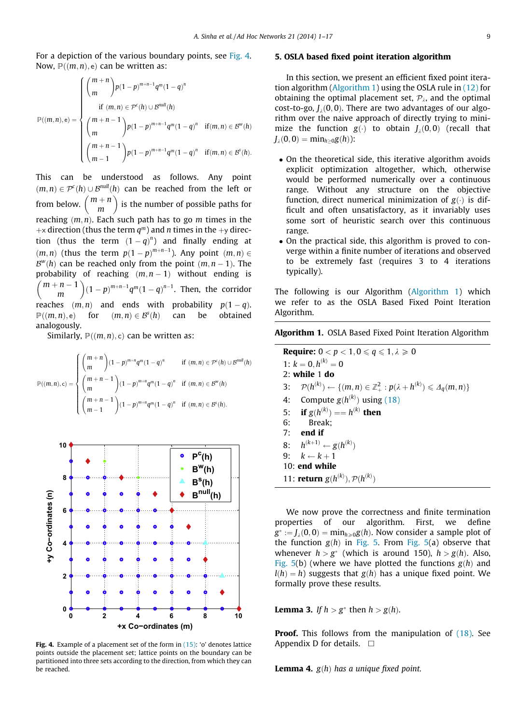For a depiction of the various boundary points, see Fig. 4. Now,  $P((m, n), e)$  can be written as:

$$
\mathbb{P}((m,n),e) = \begin{cases}\binom{m+n}{m}p(1-p)^{m+n-1}q^m(1-q)^n\\ \text{if } (m,n) \in \mathcal{P}^c(h) \cup \mathcal{B}^{null}(h) \\ \binom{m+n-1}{m}p(1-p)^{m+n-1}q^m(1-q)^n & \text{if } (m,n) \in \mathcal{B}^w(h) \\ \binom{m+n-1}{m-1}p(1-p)^{m+n-1}q^m(1-q)^n & \text{if } (m,n) \in \mathcal{B}^s(h).\end{cases}
$$

This can be understood as follows. Any point  $(m, n) \in \mathcal{P}^{c}(h) \cup \mathcal{B}^{null}(h)$  can be reached from the left or from below.  $\binom{m+n}{m}$  is the number of possible paths for m reaching  $(m, n)$ . Each such path has to go m times in the  $+$ x direction (thus the term  $q^m$ ) and  $n$  times in the  $+$ y direction (thus the term  $(1 - q)^n$ ) and finally ending at  $(m, n)$  (thus the term  $p(1-p)^{m+n-1}$ ). Any point  $(m, n) \in$  $\mathcal{B}^w(h)$  can be reached only from the point  $(m, n - 1)$ . The probability of reaching  $(m, n - 1)$  without ending is  $m + n - 1$  $\binom{m+n-1}{m}(1-p)^{m+n-1}q^m(1-q)^{n-1}$ . Then, the corridor reaches  $(m, n)$  and ends with probability  $p(1 - q)$ .  $\mathbb{P}((m, n), e)$  for  $(m, n) \in \mathcal{B}^s(h)$ can be obtained analogously.

Similarly,  $P((m, n), c)$  can be written as:

$$
\mathbb{P}((m, n), c) = \begin{cases} \binom{m + n}{m} (1 - p)^{m + n} q^m (1 - q)^n & \text{if } (m, n) \in \mathcal{P}^c(h) \cup \mathcal{B}^{null}(h) \\ \binom{m + n - 1}{m} (1 - p)^{m + n} q^m (1 - q)^n & \text{if } (m, n) \in \mathcal{B}^w(h) \\ \binom{m + n - 1}{m - 1} (1 - p)^{m + n} q^m (1 - q)^n & \text{if } (m, n) \in \mathcal{B}^s(h). \end{cases}
$$



Fig. 4. Example of a placement set of the form in (15): 'o' denotes lattice points outside the placement set; lattice points on the boundary can be partitioned into three sets according to the direction, from which they can be reached.

#### 5. OSLA based fixed point iteration algorithm

In this section, we present an efficient fixed point iteration algorithm (Algorithm 1) using the OSLA rule in (12) for obtaining the optimal placement set,  $P_i$ , and the optimal cost-to-go,  $J_\lambda(0,0)$ . There are two advantages of our algorithm over the naive approach of directly trying to minimize the function  $g(\cdot)$  to obtain  $J_\lambda(0,0)$  (recall that  $J_\lambda(0,0) = \min_{h\geq 0} g(h)$ :

- On the theoretical side, this iterative algorithm avoids explicit optimization altogether, which, otherwise would be performed numerically over a continuous range. Without any structure on the objective function, direct numerical minimization of  $g(\cdot)$  is difficult and often unsatisfactory, as it invariably uses some sort of heuristic search over this continuous range.
- On the practical side, this algorithm is proved to converge within a finite number of iterations and observed to be extremely fast (requires 3 to 4 iterations typically).

The following is our Algorithm (Algorithm 1) which we refer to as the OSLA Based Fixed Point Iteration Algorithm.

| <b>Algorithm 1.</b> OSLA Based Fixed Point Iteration Algorithm |  |  |  |  |  |  |  |
|----------------------------------------------------------------|--|--|--|--|--|--|--|
|----------------------------------------------------------------|--|--|--|--|--|--|--|

**Require:**  $0 < p < 1, 0 \leqslant q \leqslant 1, \lambda \geqslant 0$ 1:  $k = 0, h^{(k)} = 0$ 2: while 1 do 3:  $\mathcal{P}(h^{(k)}) \leftarrow \{ (m,n) \in \mathbb{Z}_+^2 : p(\lambda + h^{(k)}) \leq \Delta_q(m,n) \}$ 4: Compute  $g(h^{(k)})$  using (18) 5: **if**  $g(h^{(k)}) == h^{(k)}$  then 6: Break; 7: end if 8:  $h^{(k+1)} \leftarrow g(h^{(k)})$ 9:  $k \leftarrow k + 1$ 10: end while 11: **return**  $g(h^{(k)}), P(h^{(k)})$ 

We now prove the correctness and finite termination properties of our algorithm. First, we define  $g^* := J_\lambda(0,0) = \min_{h \geq 0} g(h)$ . Now consider a sample plot of the function  $g(h)$  in Fig. 5. From Fig. 5(a) observe that whenever  $h > g^*$  (which is around 150),  $h > g(h)$ . Also, Fig. 5(b) (where we have plotted the functions  $g(h)$  and  $l(h) = h$ ) suggests that  $g(h)$  has a unique fixed point. We formally prove these results.

**Lemma 3.** If  $h > g^*$  then  $h > g(h)$ .

**Proof.** This follows from the manipulation of  $(18)$ . See Appendix D for details.  $\Box$ 

**Lemma 4.**  $g(h)$  has a unique fixed point.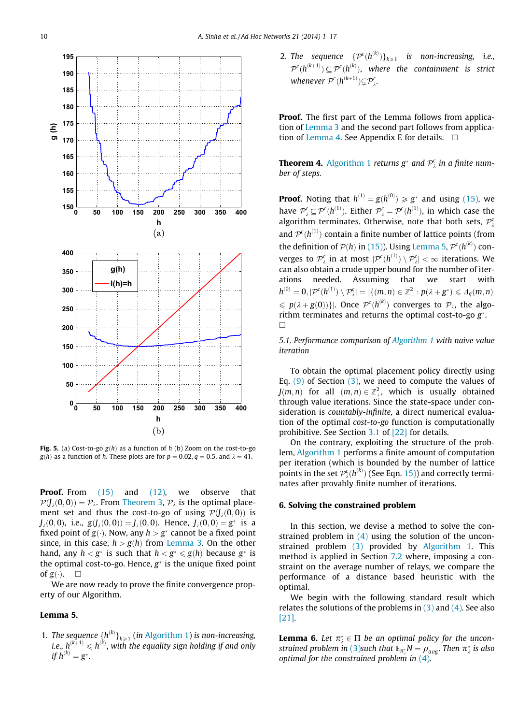

Fig. 5. (a) Cost-to-go  $g(h)$  as a function of  $h$  (b) Zoom on the cost-to-go  $g(h)$  as a function of h. These plots are for  $p = 0.02, q = 0.5$ , and  $\lambda = 41$ .

**Proof.** From (15) and (12), we observe that  $\mathcal{P}(J_\lambda(0,0)) = \overline{\mathcal{P}}_\lambda$ . From Theorem 3,  $\overline{\mathcal{P}}_\lambda$  is the optimal placement set and thus the cost-to-go of using  $P(J_\lambda(0,0))$  is  $J_{\lambda}(0,0)$ , i.e.,  $g(J_{\lambda}(0,0)) = J_{\lambda}(0,0)$ . Hence,  $J_{\lambda}(0,0) = g^*$  is a fixed point of  $g(\cdot)$ . Now, any  $h > g^*$  cannot be a fixed point since, in this case,  $h > g(h)$  from Lemma 3. On the other hand, any  $h < g^*$  is such that  $h < g^* \leq g(h)$  because  $g^*$  is the optimal cost-to-go. Hence,  $g^*$  is the unique fixed point of  $g(\cdot)$ .  $\Box$ 

We are now ready to prove the finite convergence property of our Algorithm.

#### Lemma 5.

1. The sequence  $\{h^{(k)}\}_{k\geq 1}$  (in Algorithm 1) is non-increasing, i.e.,  $h^{(k+1)} \leqslant h^{(k)}$ , with the equality sign holding if and only if  $h^{(k)}=g^*.$ 

2. The sequence  $\{\mathcal{P}^{c}(h^{(k)})\}_{k\geq 1}$  is non-increasing, i.e.,  $\mathcal{P}^{c}(h^{(k+1)}) \subseteq \mathcal{P}^{c}(h^{(k)})$ , where the containment is strict whenever  $\mathcal{P}^c(h^{(k+1)}) \subsetneq \mathcal{P}^c_{\lambda}$ .

**Proof.** The first part of the Lemma follows from application of Lemma 3 and the second part follows from application of Lemma 4. See Appendix E for details.  $\Box$ 

**Theorem 4.** Algorithm 1 returns  $g^*$  and  $\mathcal{P}^c_{\lambda}$  in a finite number of steps.

**Proof.** Noting that  $h^{(1)} = g(h^{(0)}) \geq g^*$  and using (15), we have  $\mathcal{P}_{\lambda}^c \subseteq \mathcal{P}^c(h^{(1)})$ . Either  $\mathcal{P}_{\lambda}^c = \mathcal{P}^c(h^{(1)})$ , in which case the algorithm terminates. Otherwise, note that both sets,  $\mathcal{P}_{\lambda}^{c}$ and  $\mathcal{P}^{c}(h^{(1)})$  contain a finite number of lattice points (from the definition of  $\mathcal{P}(h)$  in (15)). Using Lemma 5,  $\mathcal{P}^{c}(h^{(k)})$  converges to  $\mathcal{P}_\lambda^c$  in at most  $|\mathcal{P}^c(h^{(1)}) \setminus \mathcal{P}_\lambda^c| < \infty$  iterations. We can also obtain a crude upper bound for the number of iterations needed. Assuming that we start with  $\bm{h}^{(0)}=\bm{0}, |\mathcal{P}^{\mathsf{c}}(\bm{h}^{(1)})\setminus \mathcal{P}^{\mathsf{c}}_{\lambda}|=|\{(m,n)\in \mathbb{Z}_{+}^{2}: p(\lambda+\bm{g}^{*})\leqslant \varDelta_{q}(m,n)\}$  $\leqslant p(\lambda+g(0))\}$ . Once  $\mathcal{P}^{c}(h^{(k)})$  converges to  $\mathcal{P}_{\lambda}$ , the algorithm terminates and returns the optimal cost-to-go  $g^*$ .  $\Box$ 

5.1. Performance comparison of Algorithm 1 with naive value iteration

To obtain the optimal placement policy directly using Eq.  $(9)$  of Section  $(3)$ , we need to compute the values of  $J(m,n)$  for all  $(m,n) \in \mathbb{Z}_+^2$ , which is usually obtained through value iterations. Since the state-space under consideration is countably-infinite, a direct numerical evaluation of the optimal cost-to-go function is computationally prohibitive. See Section 3.1 of [22] for details.

On the contrary, exploiting the structure of the problem, Algorithm 1 performs a finite amount of computation per iteration (which is bounded by the number of lattice points in the set  $\mathcal{P}_{\lambda}^{\mathfrak{c}}(h^{(k)})$  (See Eqn. 15)) and correctly terminates after provably finite number of iterations.

#### 6. Solving the constrained problem

In this section, we devise a method to solve the constrained problem in  $(4)$  using the solution of the unconstrained problem (3) provided by Algorithm 1. This method is applied in Section 7.2 where, imposing a constraint on the average number of relays, we compare the performance of a distance based heuristic with the optimal.

We begin with the following standard result which relates the solutions of the problems in  $(3)$  and  $(4)$ . See also [21].

**Lemma 6.** Let  $\pi^*_{\lambda} \in \Pi$  be an optimal policy for the unconstrained problem in (3)such that  $\mathbb{E}_{\pi_{\lambda}^{*}}N = \rho_{avg}$ . Then  $\pi_{\lambda}^{*}$  is also optimal for the constrained problem in  $(4)$ .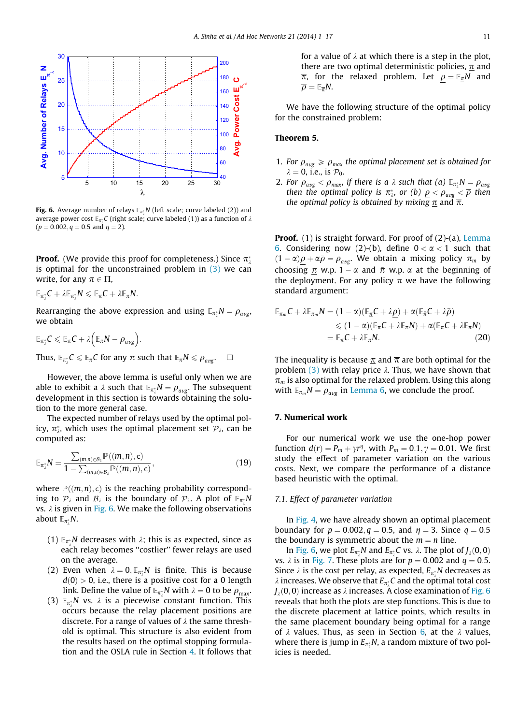

**Fig. 6.** Average number of relays  $\mathbb{E}_{\pi_1^*}N$  (left scale; curve labeled (2)) and average power cost  $\mathbb{E}_{\pi_{\zeta}^*} C$  (right scale; curve labeled (1)) as a function of  $\lambda$  $(p = 0.002, q = 0.5 \text{ and } \eta = 2).$ 

**Proof.** (We provide this proof for completeness.) Since  $\pi^*_{\lambda}$ is optimal for the unconstrained problem in  $(3)$  we can write, for any  $\pi \in \Pi$ ,

 $\mathbb{E}_{\pi_{\lambda}^{*}} C + \lambda \mathbb{E}_{\pi_{\lambda}^{*}} N \leqslant \mathbb{E}_{\pi} C + \lambda \mathbb{E}_{\pi} N.$ 

Rearranging the above expression and using  $\mathbb{E}_{\pi_{\lambda}^{*}}N = \rho_{avg}$ , we obtain

 $\mathbb{E}_{\pi_{\lambda}^*} \mathcal{C} \leqslant \mathbb{E}_{\pi} \mathcal{C} + \lambda \Big( \mathbb{E}_{\pi} N - \rho_{avg} \Big).$ 

Thus,  $\mathbb{E}_{\pi_{\lambda}^{s}} C \leqslant \mathbb{E}_{\pi} C$  for any  $\pi$  such that  $\mathbb{E}_{\pi} N \leqslant \rho_{avg}$  $\Box$ 

However, the above lemma is useful only when we are able to exhibit a  $\lambda$  such that  $\mathbb{E}_{\pi_{\lambda}^{*}}N = \rho_{avg}$ . The subsequent development in this section is towards obtaining the solution to the more general case.

The expected number of relays used by the optimal policy,  $\pi_{\lambda}^*$ , which uses the optimal placement set  $\mathcal{P}_{\lambda}$ , can be computed as:

$$
\mathbb{E}_{\pi_{\lambda}^{*}}N = \frac{\sum_{(m,n)\in\mathcal{B}_{\lambda}}\mathbb{P}((m,n),c)}{1 - \sum_{(m,n)\in\mathcal{B}_{\lambda}}\mathbb{P}((m,n),c)},
$$
\n(19)

where  $\mathbb{P}((m, n), c)$  is the reaching probability corresponding to  $\mathcal{P}_{\lambda}$  and  $\mathcal{B}_{\lambda}$  is the boundary of  $\mathcal{P}_{\lambda}$ . A plot of  $\mathbb{E}_{\pi_{\lambda}^{*}}$ N vs.  $\lambda$  is given in Fig. 6. We make the following observations about  $\mathbb{E}_{\pi_{\lambda}^{*}}N$ .

- (1)  $\mathbb{E}_{\pi_{\gamma}^{s}}N$  decreases with  $\lambda$ ; this is as expected, since as each relay becomes "costlier" fewer relays are used on the average.
- (2) Even when  $\lambda = 0$ ,  $\mathbb{E}_{\pi_{\lambda}^{*}}N$  is finite. This is because  $d(0) > 0$ , i.e., there is a positive cost for a 0 length link. Define the value of  $\mathbb{E}_{\pi_{\lambda}^{*}} N$  with  $\lambda = 0$  to be  $\rho_{\max}$ .
- (3)  $\mathbb{E}_{\pi_1^*}N$  vs.  $\lambda$  is a piecewise constant function. This  $\overline{\text{o}}$  ccause the relay placement positions are discrete. For a range of values of  $\lambda$  the same threshold is optimal. This structure is also evident from the results based on the optimal stopping formulation and the OSLA rule in Section 4. It follows that

for a value of  $\lambda$  at which there is a step in the plot, there are two optimal deterministic policies,  $\pi$  and  $\overline{\pi}$ , for the relaxed problem. Let  $\rho = \mathbb{E}_{\pi}N$  and  $\overline{\rho} = \mathbb{E}_{\overline{\pi}}N$ .

We have the following structure of the optimal policy for the constrained problem:

## Theorem 5.

- 1. For  $\rho_{avg} \ge \rho_{max}$  the optimal placement set is obtained for  $\lambda = 0$ , i.e., is  $\mathcal{P}_0$ .
- 2. For  $\rho_{avg} < \rho_{max}$ , if there is a  $\lambda$  such that (a)  $\mathbb{E}_{\pi_{\lambda}^{*}}N = \rho_{avg}$ then the optimal policy is  $\pi_{\lambda}^{*}$ , or (b)  $\rho < \rho_{avg} < \overline{\rho}$  then the optimal policy is obtained by mixing  $\pi$  and  $\overline{\pi}$ .

Proof. (1) is straight forward. For proof of (2)-(a), Lemma 6. Considering now (2)-(b), define  $0 < \alpha < 1$  such that  $(1 - \alpha)\rho + \alpha\bar{\rho} = \rho_{avg}$ . We obtain a mixing policy  $\pi_m$  by choosing  $\pi$  w.p. 1 –  $\alpha$  and  $\bar{\pi}$  w.p.  $\alpha$  at the beginning of the deployment. For any policy  $\pi$  we have the following standard argument:

$$
\mathbb{E}_{\pi_m} C + \lambda \mathbb{E}_{\pi_m} N = (1 - \alpha) (\mathbb{E}_{\underline{\pi}} C + \lambda \underline{\rho}) + \alpha (\mathbb{E}_{\pi} C + \lambda \overline{\rho})
$$
  
\n
$$
\leq (1 - \alpha) (\mathbb{E}_{\pi} C + \lambda \mathbb{E}_{\pi} N) + \alpha (\mathbb{E}_{\pi} C + \lambda \mathbb{E}_{\pi} N)
$$
  
\n
$$
= \mathbb{E}_{\pi} C + \lambda \mathbb{E}_{\pi} N.
$$
 (20)

The inequality is because  $\pi$  and  $\bar{\pi}$  are both optimal for the problem  $(3)$  with relay price  $\lambda$ . Thus, we have shown that  $\pi_m$  is also optimal for the relaxed problem. Using this along with  $\mathbb{E}_{\pi_m} N = \rho_{avg}$  in Lemma 6, we conclude the proof.

#### 7. Numerical work

For our numerical work we use the one-hop power function  $d(r) = P_m + \gamma r^{\eta}$ , with  $P_m = 0.1$ ,  $\gamma = 0.01$ . We first study the effect of parameter variation on the various costs. Next, we compare the performance of a distance based heuristic with the optimal.

#### 7.1. Effect of parameter variation

In Fig. 4, we have already shown an optimal placement boundary for  $p = 0.002, q = 0.5$ , and  $\eta = 3$ . Since  $q = 0.5$ the boundary is symmetric about the  $m = n$  line.

In Fig. 6, we plot  $E_{\pi^*_2}N$  and  $E_{\pi^*_2}C$  vs.  $\lambda$ . The plot of  $J_\lambda(0,0)$ vs.  $\lambda$  is in Fig. 7. These plots are for  $p = 0.002$  and  $q = 0.5$ . Since  $\lambda$  is the cost per relay, as expected,  $E_{\pi^*_1}N$  decreases as  $\lambda$  increases. We observe that  $E_{\pi_{\lambda}^*}C$  and the optimal total cost  $J_\lambda(0,0)$  increase as  $\lambda$  increases. A close examination of Fig. 6 reveals that both the plots are step functions. This is due to the discrete placement at lattice points, which results in the same placement boundary being optimal for a range of  $\lambda$  values. Thus, as seen in Section 6, at the  $\lambda$  values, where there is jump in  $E_{\pi^*_\lambda}$ N, a random mixture of two policies is needed.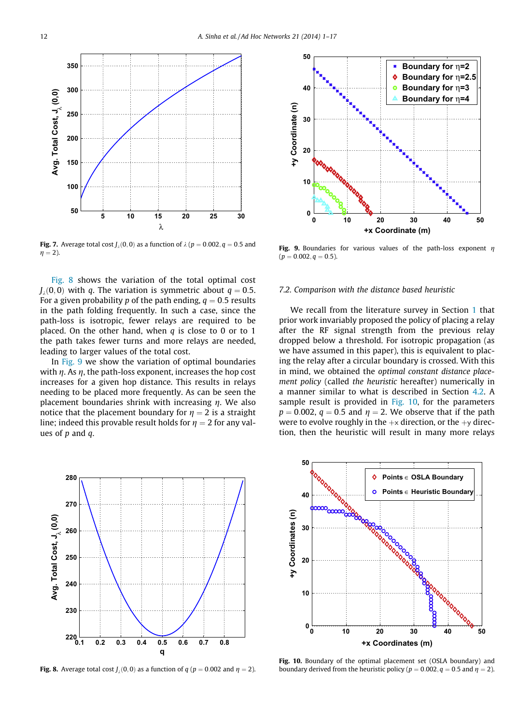

**Fig. 7.** Average total cost  $J_\lambda(0,0)$  as a function of  $\lambda$  ( $p = 0.002, q = 0.5$  and  $\eta = 2$ ).

Fig. 8 shows the variation of the total optimal cost  $J_\lambda(0,0)$  with q. The variation is symmetric about  $q=0.5.$ For a given probability p of the path ending,  $q = 0.5$  results in the path folding frequently. In such a case, since the path-loss is isotropic, fewer relays are required to be placed. On the other hand, when  $q$  is close to 0 or to 1 the path takes fewer turns and more relays are needed, leading to larger values of the total cost.

In Fig. 9 we show the variation of optimal boundaries with  $\eta$ . As  $\eta$ , the path-loss exponent, increases the hop cost increases for a given hop distance. This results in relays needing to be placed more frequently. As can be seen the placement boundaries shrink with increasing  $\eta$ . We also notice that the placement boundary for  $\eta = 2$  is a straight line; indeed this provable result holds for  $\eta = 2$  for any values of p and q.



**Fig. 8.** Average total cost  $J_\lambda(0,0)$  as a function of  $q$  ( $p = 0.002$  and  $\eta = 2$ ).



Fig. 9. Boundaries for various values of the path-loss exponent  $\eta$  $(p = 0.002, q = 0.5).$ 

#### 7.2. Comparison with the distance based heuristic

We recall from the literature survey in Section 1 that prior work invariably proposed the policy of placing a relay after the RF signal strength from the previous relay dropped below a threshold. For isotropic propagation (as we have assumed in this paper), this is equivalent to placing the relay after a circular boundary is crossed. With this in mind, we obtained the optimal constant distance placement policy (called the heuristic hereafter) numerically in a manner similar to what is described in Section 4.2. A sample result is provided in Fig. 10, for the parameters  $p = 0.002$ ,  $q = 0.5$  and  $\eta = 2$ . We observe that if the path were to evolve roughly in the  $+x$  direction, or the  $+y$  direction, then the heuristic will result in many more relays



Fig. 10. Boundary of the optimal placement set (OSLA boundary) and boundary derived from the heuristic policy ( $p = 0.002$ ,  $q = 0.5$  and  $\eta = 2$ ).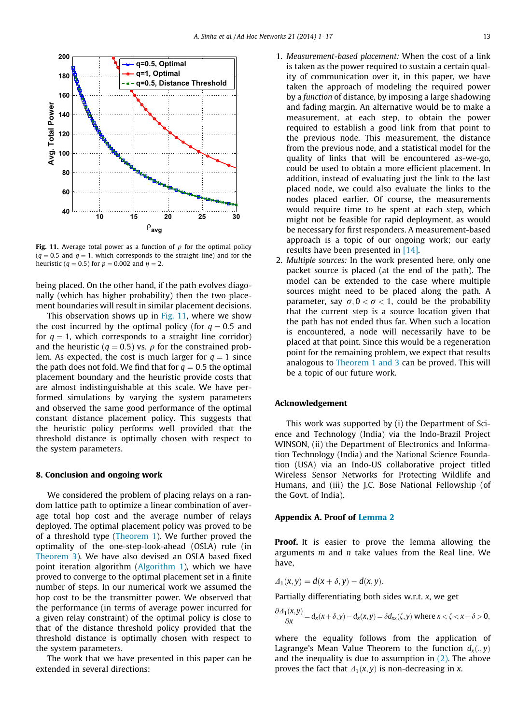

Fig. 11. Average total power as a function of  $\rho$  for the optimal policy  $(q = 0.5$  and  $q = 1$ , which corresponds to the straight line) and for the heuristic ( $q = 0.5$ ) for  $p = 0.002$  and  $\eta = 2$ .

being placed. On the other hand, if the path evolves diagonally (which has higher probability) then the two placement boundaries will result in similar placement decisions.

This observation shows up in Fig.  $11$ , where we show the cost incurred by the optimal policy (for  $q = 0.5$  and for  $q = 1$ , which corresponds to a straight line corridor) and the heuristic ( $q = 0.5$ ) vs.  $\rho$  for the constrained problem. As expected, the cost is much larger for  $q = 1$  since the path does not fold. We find that for  $q = 0.5$  the optimal placement boundary and the heuristic provide costs that are almost indistinguishable at this scale. We have performed simulations by varying the system parameters and observed the same good performance of the optimal constant distance placement policy. This suggests that the heuristic policy performs well provided that the threshold distance is optimally chosen with respect to the system parameters.

#### 8. Conclusion and ongoing work

We considered the problem of placing relays on a random lattice path to optimize a linear combination of average total hop cost and the average number of relays deployed. The optimal placement policy was proved to be of a threshold type (Theorem 1). We further proved the optimality of the one-step-look-ahead (OSLA) rule (in Theorem 3). We have also devised an OSLA based fixed point iteration algorithm (Algorithm 1), which we have proved to converge to the optimal placement set in a finite number of steps. In our numerical work we assumed the hop cost to be the transmitter power. We observed that the performance (in terms of average power incurred for a given relay constraint) of the optimal policy is close to that of the distance threshold policy provided that the threshold distance is optimally chosen with respect to the system parameters.

The work that we have presented in this paper can be extended in several directions:

- 1. Measurement-based placement: When the cost of a link is taken as the power required to sustain a certain quality of communication over it, in this paper, we have taken the approach of modeling the required power by a function of distance, by imposing a large shadowing and fading margin. An alternative would be to make a measurement, at each step, to obtain the power required to establish a good link from that point to the previous node. This measurement, the distance from the previous node, and a statistical model for the quality of links that will be encountered as-we-go, could be used to obtain a more efficient placement. In addition, instead of evaluating just the link to the last placed node, we could also evaluate the links to the nodes placed earlier. Of course, the measurements would require time to be spent at each step, which might not be feasible for rapid deployment, as would be necessary for first responders. A measurement-based approach is a topic of our ongoing work; our early results have been presented in [14].
- 2. Multiple sources: In the work presented here, only one packet source is placed (at the end of the path). The model can be extended to the case where multiple sources might need to be placed along the path. A parameter, say  $\sigma$ ,  $0 < \sigma < 1$ , could be the probability that the current step is a source location given that the path has not ended thus far. When such a location is encountered, a node will necessarily have to be placed at that point. Since this would be a regeneration point for the remaining problem, we expect that results analogous to Theorem 1 and 3 can be proved. This will be a topic of our future work.

#### Acknowledgement

This work was supported by (i) the Department of Science and Technology (India) via the Indo-Brazil Project WINSON, (ii) the Department of Electronics and Information Technology (India) and the National Science Foundation (USA) via an Indo-US collaborative project titled Wireless Sensor Networks for Protecting Wildlife and Humans, and (iii) the J.C. Bose National Fellowship (of the Govt. of India).

## Appendix A. Proof of Lemma 2

Proof. It is easier to prove the lemma allowing the arguments  $m$  and  $n$  take values from the Real line. We have,

$$
\varDelta_1(x,y)=d(x+\delta,y)-d(x,y).
$$

Partially differentiating both sides w.r.t. x, we get

$$
\frac{\partial \varDelta_1(x,y)}{\partial x} = d_x(x+\delta,y) - d_x(x,y) = \delta d_{xx}(\zeta,y) \text{ where } x < \zeta < x+\delta > 0,
$$

where the equality follows from the application of Lagrange's Mean Value Theorem to the function  $d_x(. , y)$ and the inequality is due to assumption in  $(2)$ . The above proves the fact that  $\Delta_1(x, y)$  is non-decreasing in x.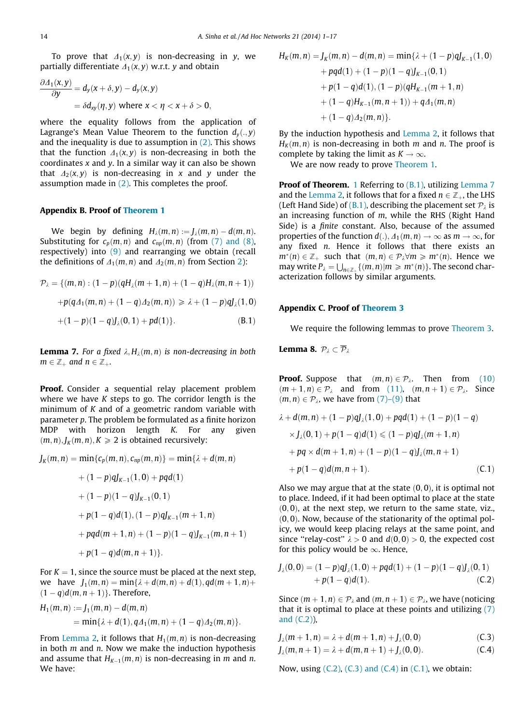To prove that  $\Delta_1(x, y)$  is non-decreasing in y, we partially differentiate  $\Delta_1(x, y)$  w.r.t. y and obtain

$$
\frac{\partial \Delta_1(x, y)}{\partial y} = d_y(x + \delta, y) - d_y(x, y)
$$
  
=  $\delta d_{xy}(\eta, y)$  where  $x < \eta < x + \delta > 0$ ,

where the equality follows from the application of Lagrange's Mean Value Theorem to the function  $d_v(.,v)$ and the inequality is due to assumption in  $(2)$ . This shows that the function  $\Delta_1(x, y)$  is non-decreasing in both the coordinates  $x$  and  $y$ . In a similar way it can also be shown that  $\Delta_2(x, y)$  is non-decreasing in x and y under the assumption made in  $(2)$ . This completes the proof.

#### Appendix B. Proof of Theorem 1

We begin by defining  $H_\lambda(m,n) := J_\lambda(m,n) - d(m,n)$ . Substituting for  $c_p(m, n)$  and  $c_{np}(m, n)$  (from (7) and (8), respectively) into (9) and rearranging we obtain (recall the definitions of  $\Delta_1(m, n)$  and  $\Delta_2(m, n)$  from Section 2):

$$
\mathcal{P}_{\lambda} = \{ (m, n) : (1 - p)(qH_{\lambda}(m + 1, n) + (1 - q)H_{\lambda}(m, n + 1))
$$

$$
+ p(qA_1(m, n) + (1 - q)A_2(m, n)) \ge \lambda + (1 - p)qI_{\lambda}(1, 0)
$$

$$
+ (1 - p)(1 - q)I_{\lambda}(0, 1) + pd(1) \}. \tag{B.1}
$$

**Lemma 7.** For a fixed  $\lambda$ ,  $H_{\lambda}(m, n)$  is non-decreasing in both  $m \in \mathbb{Z}_+$  and  $n \in \mathbb{Z}_+$ .

Proof. Consider a sequential relay placement problem where we have  $K$  steps to go. The corridor length is the minimum of K and of a geometric random variable with parameter p. The problem be formulated as a finite horizon MDP with horizon length K. For any given  $(m, n), J_K(m, n), K \geq 2$  is obtained recursively:

$$
J_K(m, n) = \min\{c_p(m, n), c_{np}(m, n)\} = \min\{\lambda + d(m, n)
$$
  
+ (1 - p)qJ\_{K-1}(1, 0) + pqd(1)  
+ (1 - p)(1 - q)J\_{K-1}(0, 1)  
+ p(1 - q)d(1), (1 - p)qJ\_{K-1}(m + 1, n)  
+ pqd(m + 1, n) + (1 - p)(1 - q)J\_{K-1}(m, n + 1)  
+ p(1 - q)d(m, n + 1)\}

For  $K = 1$ , since the source must be placed at the next step, we have  $J_1(m, n) = min\{\lambda + d(m, n) + d(1), qd(m + 1, n) + d(m, n)\}$  $(1 - q)d(m, n + 1)$ . Therefore,

$$
H_1(m,n) := J_1(m,n) - d(m,n)
$$
  
= min{ $\lambda$  + d(1), q $\Delta_1(m,n)$  + (1-q) $\Delta_2(m,n)$  }.

From Lemma 2, it follows that  $H_1(m, n)$  is non-decreasing in both  $m$  and  $n$ . Now we make the induction hypothesis and assume that  $H_{K-1}(m, n)$  is non-decreasing in m and n. We have:

$$
H_K(m, n) = J_K(m, n) - d(m, n) = \min\{\lambda + (1 - p)qJ_{K-1}(1, 0) + pqd(1) + (1 - p)(1 - q)J_{K-1}(0, 1) + p(1 - q)d(1), (1 - p)(qH_{K-1}(m + 1, n) + (1 - q)H_{K-1}(m, n + 1)) + qA_1(m, n) + (1 - q)A_2(m, n)\}.
$$

By the induction hypothesis and Lemma 2, it follows that  $H<sub>K</sub>(m, n)$  is non-decreasing in both m and n. The proof is complete by taking the limit as  $K \to \infty$ .

We are now ready to prove Theorem 1.

Proof of Theorem. 1 Referring to (B.1), utilizing Lemma 7 and the Lemma 2, it follows that for a fixed  $n \in \mathbb{Z}_+$ , the LHS (Left Hand Side) of (B.1), describing the placement set  $P_{\lambda}$  is an increasing function of  $m$ , while the RHS (Right Hand Side) is a finite constant. Also, because of the assumed properties of the function  $d(.)$ ,  $\Delta_1(m, n) \rightarrow \infty$  as  $m \rightarrow \infty$ , for any fixed n. Hence it follows that there exists an  $m^*(n) \in \mathbb{Z}_+$  such that  $(m, n) \in \mathcal{P}_\lambda \forall m \geq m^*(n)$ . Hence we may write  $P_{\lambda} = \bigcup_{n \in \mathbb{Z}_+} \{(m, n) | m \geqslant m^*(n) \}.$  The second characterization follows by similar arguments.

#### Appendix C. Proof of Theorem 3

We require the following lemmas to prove Theorem 3.

**Lemma 8.**  $\mathcal{P}_{\lambda} \subset \overline{\mathcal{P}}_{\lambda}$ 

**Proof.** Suppose that  $(m, n) \in \mathcal{P}_\lambda$ . Then from (10)  $(m+1,n) \in \mathcal{P}_{\lambda}$  and from (11),  $(m,n+1) \in \mathcal{P}_{\lambda}$ . Since  $(m, n) \in \mathcal{P}_{\lambda}$ , we have from (7)–(9) that

$$
\lambda + d(m, n) + (1 - p)qJ_{\lambda}(1, 0) + pqd(1) + (1 - p)(1 - q)
$$
  
\n
$$
\times J_{\lambda}(0, 1) + p(1 - q)d(1) \leq (1 - p)qJ_{\lambda}(m + 1, n)
$$
  
\n
$$
+ pq \times d(m + 1, n) + (1 - p)(1 - q)J_{\lambda}(m, n + 1)
$$
  
\n
$$
+ p(1 - q)d(m, n + 1).
$$
 (C.1)

Also we may argue that at the state  $(0, 0)$ , it is optimal not to place. Indeed, if it had been optimal to place at the state  $(0,0)$ , at the next step, we return to the same state, viz.,  $(0,0)$ . Now, because of the stationarity of the optimal policy, we would keep placing relays at the same point, and since "relay-cost"  $\lambda > 0$  and  $d(0,0) > 0$ , the expected cost for this policy would be  $\infty$ . Hence,

$$
J_{\lambda}(0,0) = (1-p)qJ_{\lambda}(1,0) + pqd(1) + (1-p)(1-q)J_{\lambda}(0,1) + p(1-q)d(1).
$$
 (C.2)

Since  $(m + 1, n) \in \mathcal{P}_\lambda$  and  $(m, n + 1) \in \mathcal{P}_\lambda$ , we have (noticing that it is optimal to place at these points and utilizing (7) and (C.2)),

$$
J_{\lambda}(m+1,n) = \lambda + d(m+1,n) + J_{\lambda}(0,0)
$$
 (C.3)

$$
J_{\lambda}(m, n+1) = \lambda + d(m, n+1) + J_{\lambda}(0, 0).
$$
 (C.4)

Now, using  $(C.2)$ ,  $(C.3)$  and  $(C.4)$  in  $(C.1)$ , we obtain: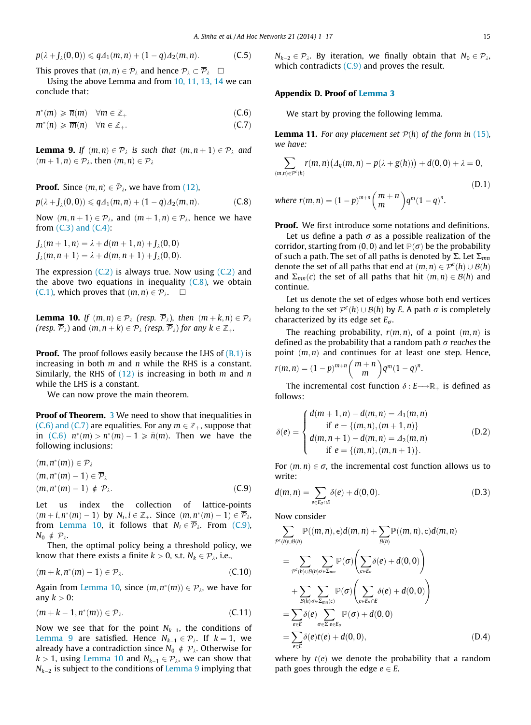$p(\lambda + J_{\lambda}(0, 0)) \leqslant q\Delta_1(m, n) + (1 - q)\Delta_2(m, n).$  (C.5)

This proves that  $(m, n) \in \bar{\mathcal{P}}_{\lambda}$  and hence  $\mathcal{P}_{\lambda} \subset \overline{\mathcal{P}}_{\lambda}$ 

Using the above Lemma and from 10, 11, 13, 14 we can conclude that:

$$
n^*(m) \geqslant \overline{n}(m) \quad \forall m \in \mathbb{Z}_+ \tag{C.6}
$$

$$
m^*(n) \geqslant \overline{m}(n) \quad \forall n \in \mathbb{Z}_+.
$$
 (C.7)

**Lemma 9.** If  $(m, n) \in \overline{P}_\lambda$  is such that  $(m, n + 1) \in P_\lambda$  and  $(m + 1, n) \in \mathcal{P}_{\lambda}$ , then  $(m, n) \in \mathcal{P}_{\lambda}$ 

**Proof.** Since  $(m, n) \in \bar{\mathcal{P}}_{\lambda}$ , we have from (12),

$$
p(\lambda + J_{\lambda}(0,0)) \leqslant q\Delta_1(m,n) + (1-q)\Delta_2(m,n). \tag{C.8}
$$

Now  $(m, n + 1) \in \mathcal{P}_{\lambda}$ , and  $(m + 1, n) \in \mathcal{P}_{\lambda}$ , hence we have from  $(C.3)$  and  $(C.4)$ :

 $J_{\lambda}(m+1,n) = \lambda + d(m+1,n) + J_{\lambda}(0,0)$  $J_{\lambda}(m, n+1) = \lambda + d(m, n+1) + J_{\lambda}(0, 0).$ 

The expression  $(C.2)$  is always true. Now using  $(C.2)$  and the above two equations in inequality  $(C.8)$ , we obtain (C.1), which proves that  $(m, n) \in \mathcal{P}_\lambda$ .  $\Box$ 

**Lemma 10.** If  $(m, n) \in \mathcal{P}_\lambda$  (resp.  $\overline{\mathcal{P}}_\lambda$ ), then  $(m + k, n) \in \mathcal{P}_\lambda$ (resp.  $\overline{P}_{\lambda}$ ) and  $(m, n+k) \in \mathcal{P}_{\lambda}$  (resp.  $\overline{\mathcal{P}}_{\lambda}$ ) for any  $k \in \mathbb{Z}_{+}$ .

**Proof.** The proof follows easily because the LHS of  $(B,1)$  is increasing in both  $m$  and  $n$  while the RHS is a constant. Similarly, the RHS of  $(12)$  is increasing in both m and n while the LHS is a constant.

We can now prove the main theorem.

**Proof of Theorem.** 3 We need to show that inequalities in (C.6) and (C.7) are equalities. For any  $m \in \mathbb{Z}_+$ , suppose that in  $(C.6)$   $n^*(m) > n^*(m) - 1 \geqslant \bar{n}(m)$ . Then we have the following inclusions:

$$
(m, n^*(m)) \in \mathcal{P}_{\lambda}
$$
  
\n
$$
(m, n^*(m) - 1) \in \overline{\mathcal{P}}_{\lambda}
$$
  
\n
$$
(m, n^*(m) - 1) \notin \mathcal{P}_{\lambda}.
$$
\n(C.9)

Let us index the collection of lattice-points  $(m+i, n^*(m)-1)$  by  $N_i, i \in \mathbb{Z}_+$ . Since  $(m, n^*(m)-1) \in \overline{\mathcal{P}}_{\lambda}$ , from Lemma 10, it follows that  $N_i \in \overline{P}_\lambda$ . From (C.9),  $N_0 \notin \mathcal{P}_1$ .

Then, the optimal policy being a threshold policy, we know that there exists a finite  $k > 0$ , s.t.  $N_k \in \mathcal{P}_\lambda$ , i.e.,

$$
(m+k, n^*(m)-1) \in \mathcal{P}_\lambda. \tag{C.10}
$$

Again from Lemma 10, since  $(m, n^*(m)) \in \mathcal{P}_\lambda$ , we have for any  $k > 0$ :

$$
(m+k-1, n^*(m)) \in \mathcal{P}_\lambda.
$$
 (C.11)

Now we see that for the point  $N_{k-1}$ , the conditions of Lemma 9 are satisfied. Hence  $N_{k-1} \in \mathcal{P}_{\lambda}$ . If  $k = 1$ , we already have a contradiction since  $N_0 \notin \mathcal{P}_{\lambda}$ . Otherwise for  $k > 1$ , using Lemma 10 and  $N_{k-1} \in \mathcal{P}_{\lambda}$ , we can show that  $N_{k-2}$  is subject to the conditions of Lemma 9 implying that  $N_{k-2} \in \mathcal{P}_{\lambda}$ . By iteration, we finally obtain that  $N_0 \in \mathcal{P}_{\lambda}$ , which contradicts  $(C.9)$  and proves the result.

#### Appendix D. Proof of Lemma 3

We start by proving the following lemma.

**Lemma 11.** For any placement set  $P(h)$  of the form in (15), we have:

$$
\sum_{(m,n)\in\mathcal{P}^c(h)} r(m,n) \big(\Delta_q(m,n) - p(\lambda + g(h))\big) + d(0,0) + \lambda = 0,
$$
\n(D.1)

\nwhere  $r(m,n) = (1-p)^{m+n} \binom{m+n}{m} q^m (1-q)^n$ .

Proof. We first introduce some notations and definitions.

Let us define a path  $\sigma$  as a possible realization of the corridor, starting from  $(0, 0)$  and let  $P(\sigma)$  be the probability of such a path. The set of all paths is denoted by  $\Sigma$ . Let  $\Sigma_{mn}$ denote the set of all paths that end at  $(m, n) \in \mathcal{P}^{c}(h) \cup \mathcal{B}(h)$ and  $\Sigma_{mn}(c)$  the set of all paths that hit  $(m, n) \in B(h)$  and continue.

Let us denote the set of edges whose both end vertices belong to the set  $\mathcal{P}^c(h) \cup \mathcal{B}(h)$  by E. A path  $\sigma$  is completely characterized by its edge set  $E_{\sigma}$ .

The reaching probability,  $r(m, n)$ , of a point  $(m, n)$  is defined as the probability that a random path  $\sigma$  reaches the point  $(m, n)$  and continues for at least one step. Hence,  $r(m, n) = (1-p)^{m+n} \binom{m+n}{m}$  $\binom{m+n}{m}q^m(1-q)^n$ .

The incremental cost function  $\delta : E \longrightarrow \mathbb{R}_+$  is defined as follows:

$$
\delta(e) = \begin{cases}\nd(m+1,n) - d(m,n) = \Delta_1(m,n) \\
\text{if } e = \{(m,n), (m+1,n)\} \\
d(m,n+1) - d(m,n) = \Delta_2(m,n) \\
\text{if } e = \{(m,n), (m,n+1)\}.\n\end{cases}
$$
\n(D.2)

For  $(m, n) \in \sigma$ , the incremental cost function allows us to write:

$$
d(m,n) = \sum_{e \in E_{\sigma} \cap E} \delta(e) + d(0,0).
$$
 (D.3)

Now consider

$$
\sum_{\mathcal{P}^c(h)\cup\mathcal{B}(h)} \mathbb{P}((m,n),e)d(m,n) + \sum_{\mathcal{B}(h)} \mathbb{P}((m,n),c)d(m,n)
$$
\n
$$
= \sum_{\mathcal{P}^c(h)\cup\mathcal{B}(h)} \sum_{\sigma \in \Sigma_{mn}} \mathbb{P}(\sigma) \left( \sum_{e \in E_{\sigma}} \delta(e) + d(0,0) \right)
$$
\n
$$
+ \sum_{\mathcal{B}(h)} \sum_{\sigma \in \Sigma_{mn}(c)} \mathbb{P}(\sigma) \left( \sum_{e \in E_{\sigma} \cap E} \delta(e) + d(0,0) \right)
$$
\n
$$
= \sum_{e \in E} \delta(e) \sum_{\sigma \in \Sigma_{m}(e)} \mathbb{P}(\sigma) + d(0,0)
$$
\n
$$
= \sum_{e \in E} \delta(e)t(e) + d(0,0), \qquad (D.4)
$$

where by  $t(e)$  we denote the probability that a random path goes through the edge  $e \in E$ .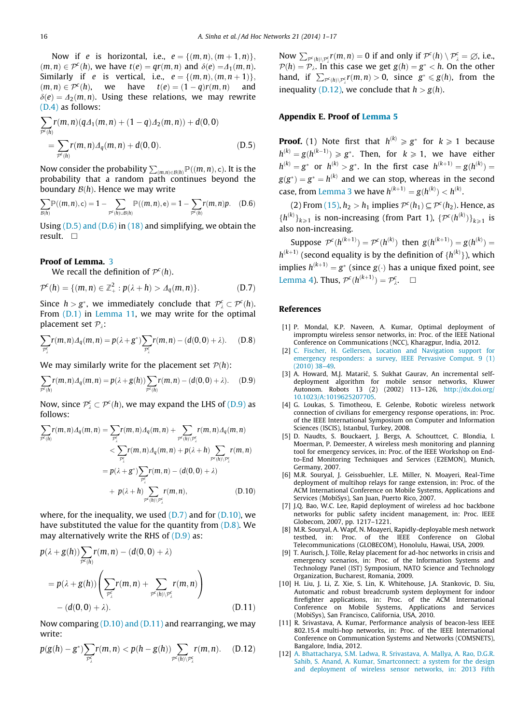Now if e is horizontal, i.e.,  $e = \{(m, n), (m + 1, n)\},\$  $(m, n) \in \mathcal{P}^{c}(h)$ , we have  $t(e) = qr(m, n)$  and  $\delta(e) = \Delta_1(m, n)$ . Similarly if e is vertical, i.e.,  $e = \{(m, n), (m, n + 1)\},\$  $(m, n) \in \mathcal{P}^c(h)$ , we have  $t(e) = (1 - q)r(m, n)$  and  $\delta(e) = \Delta_2(m, n)$ . Using these relations, we may rewrite (D.4) as follows:

$$
\sum_{p \in (h)} r(m,n)(q\Delta_1(m,n) + (1-q)\Delta_2(m,n)) + d(0,0)
$$
  
= 
$$
\sum_{p \in (h)} r(m,n)\Delta_q(m,n) + d(0,0).
$$
 (D.5)

Now consider the probability  $\sum_{(m,n)\in\mathcal{B}(h)}\mathbb{P}((m,n),\mathsf{c})$ . It is the probability that a random path continues beyond the boundary  $B(h)$ . Hence we may write

$$
\sum_{\mathcal{B}(h)}\mathbb{P}((m,n),c)=1-\sum_{\mathcal{P}^c(h)\cup\mathcal{B}(h)}\mathbb{P}((m,n),e)=1-\sum_{\mathcal{P}^c(h)}r(m,n)p. \quad (D.6)
$$

Using (D.5) and (D.6) in (18) and simplifying, we obtain the result.  $\square$ 

#### Proof of Lemma. 3

We recall the definition of  $\mathcal{P}^{c}(h)$ .

$$
\mathcal{P}^{c}(h) = \{ (m, n) \in \mathbb{Z}_+^2 : p(\lambda + h) > \Delta_q(m, n) \}. \tag{D.7}
$$

Since  $h > g^*$ , we immediately conclude that  $\mathcal{P}_\lambda^c \subset \mathcal{P}^c(h)$ . From (D.1) in Lemma 11, we may write for the optimal placement set  $P_i$ :

$$
\sum_{\mathcal{P}_{\lambda}^c} r(m,n) \varDelta_q(m,n) = p(\lambda + g^*) \sum_{\mathcal{P}_{\lambda}^c} r(m,n) - (d(0,0) + \lambda). \tag{D.8}
$$

We may similarly write for the placement set  $P(h)$ :

$$
\sum_{\mathcal{P}^c(h)} r(m,n) \Delta_q(m,n) = p(\lambda + g(h)) \sum_{\mathcal{P}^c(h)} r(m,n) - (d(0,0) + \lambda). \quad (D.9)
$$

Now, since  $\mathcal{P}_{\lambda}^c \subset \mathcal{P}^c(h)$ , we may expand the LHS of (D.9) as follows:

$$
\sum_{p \in (h)} r(m,n) \Delta_q(m,n) = \sum_{p \in \mathcal{F}_\lambda} r(m,n) \Delta_q(m,n) + \sum_{p \in (h) \setminus P_\lambda^c} r(m,n) \Delta_q(m,n)
$$
  

$$
< \sum_{p \in \mathcal{F}_\lambda} r(m,n) \Delta_q(m,n) + p(\lambda + h) \sum_{p \in (h) \setminus P_\lambda^c} r(m,n)
$$
  

$$
= p(\lambda + g^*) \sum_{p \in \mathcal{F}_\lambda} r(m,n) - (d(0,0) + \lambda)
$$
  

$$
+ p(\lambda + h) \sum_{p \in (h) \setminus P_\lambda^c} r(m,n), \qquad (D.10)
$$

where, for the inequality, we used  $(D.7)$  and for  $(D.10)$ , we have substituted the value for the quantity from (D.8). We may alternatively write the RHS of (D.9) as:

$$
p(\lambda + g(h)) \sum_{p \in (h)} r(m, n) - (d(0, 0) + \lambda)
$$
  
=  $p(\lambda + g(h)) \left( \sum_{p \in \lambda} r(m, n) + \sum_{p \in (h) \setminus p_{\lambda}^c} r(m, n) \right)$   
-  $(d(0, 0) + \lambda).$  (D.11)

Now comparing  $(D.10)$  and  $(D.11)$  and rearranging, we may write:

$$
p(g(h) - g^*) \sum_{\mathcal{P}^c_{\lambda}} r(m, n) < p(h - g(h)) \sum_{\mathcal{P}^c(h) \setminus \mathcal{P}^c_{\lambda}} r(m, n). \quad (D.12)
$$

Now  $\sum_{\mathcal{P}^c(h)\backslash\mathcal{P}^c_{\lambda}} r(m,n) = 0$  if and only if  $\mathcal{P}^c(h)\backslash\mathcal{P}^c_{\lambda} = \emptyset$ , i.e.,  $P(h) = P_{\lambda}$ . In this case we get  $g(h) = g^* < h$ . On the other hand, if  $\sum_{\mathcal{P}^c(h)\backslash\mathcal{P}^c_j} r(m,n) > 0$ , since  $g^* \leqslant g(h)$ , from the inequality (D.12), we conclude that  $h > g(h)$ .

#### Appendix E. Proof of Lemma 5

**Proof.** (1) Note first that  $h^{(k)} \geq g^*$  for  $k \geq 1$  because  $h^{(k)} = g(h^{(k-1)}) \geqslant g^*$ . Then, for  $k \geqslant 1$ , we have either  $h^{(k)} = g^*$  or  $h^{(k)} > g^*$ . In the first case  $h^{(k+1)} = g(h^{(k)}) =$  $g(g^*) = g^* = h^{(k)}$  and we can stop, whereas in the second case, from Lemma 3 we have  $h^{(k+1)} = g(h^{(k)}) < h^{(k)}$ .

(2) From (15),  $h_2 > h_1$  implies  $\mathcal{P}^c(h_1) \subseteq \mathcal{P}^c(h_2)$ . Hence, as  ${h^{(k)}}_{k\geq 1}$  is non-increasing (from Part 1),  ${p^{c}(h^{(k)})}_{k\geq 1}$  is also non-increasing.

Suppose  $\mathcal{P}^{c}(h^{(k+1)}) = \mathcal{P}^{c}(h^{(k)})$  then  $g(h^{(k+1)}) = g(h^{(k)}) =$  $h^{(k+1)}$  (second equality is by the definition of  $\{h^{(k)}\}\)$ , which implies  $h^{(k+1)} = g^*$  (since  $g(\cdot)$  has a unique fixed point, see Lemma 4). Thus,  $\mathcal{P}^c(h^{(k+1)}) = \mathcal{P}^c_{\lambda}$ .  $\Box$ 

#### References

- [1] P. Mondal, K.P. Naveen, A. Kumar, Optimal deployment of impromptu wireless sensor networks, in: Proc. of the IEEE National Conference on Communications (NCC), Kharagpur, India, 2012.
- [2] C. Fischer, H. Gellersen, Location and Navigation support for emergency responders: a survey, IEEE Pervasive Comput. 9 (1) (2010) 38–49.
- [3] A. Howard, M.J. Matarić, S. Sukhat Gaurav, An incremental selfdeployment algorithm for mobile sensor networks, Kluwer Autonom. Robots 13 (2) (2002) 113–126, http://dx.doi.org/ 10.1023/A:1019625207705.
- [4] G. Loukas, S. Timotheou, E. Gelenbe, Robotic wireless network connection of civilians for emergency response operations, in: Proc. of the IEEE International Symposium on Computer and Information Sciences (ISCIS), Istanbul, Turkey, 2008.
- [5] D. Naudts, S. Bouckaert, J. Bergs, A. Schouttcet, C. Blondia, I. Moerman, P. Demeester, A wireless mesh monitoring and planning tool for emergency services, in: Proc. of the IEEE Workshop on Endto-End Monitoring Techniques and Services (E2EMON), Munich, Germany, 2007.
- [6] M.R. Souryal, J. Geissbuehler, L.E. Miller, N. Moayeri, Real-Time deployment of multihop relays for range extension, in: Proc. of the ACM International Conference on Mobile Systems, Applications and Services (MobiSys), San Juan, Puerto Rico, 2007.
- [7] J.Q. Bao, W.C. Lee, Rapid deployment of wireless ad hoc backbone networks for public safety incident management, in: Proc. IEEE Globecom, 2007, pp. 1217–1221.
- [8] M.R. Souryal, A. Wapf, N. Moayeri, Rapidly-deployable mesh network testbed, in: Proc. of the IEEE Conference on Global Telecommunications (GLOBECOM), Honolulu, Hawai, USA, 2009.
- [9] T. Aurisch, J. Tölle, Relay placement for ad-hoc networks in crisis and emergency scenarios, in: Proc. of the Information Systems and Technology Panel (IST) Symposium, NATO Science and Technology Organization, Bucharest, Romania, 2009.
- [10] H. Liu, J. Li, Z. Xie, S. Lin, K. Whitehouse, J.A. Stankovic, D. Siu, Automatic and robust breadcrumb system deployment for indoor firefighter applications, in: Proc. of the ACM International Conference on Mobile Systems, Applications and Services (MobiSys), San Francisco, California, USA, 2010.
- [11] R. Srivastava, A. Kumar, Performance analysis of beacon-less IEEE 802.15.4 multi-hop networks, in: Proc. of the IEEE International Conference on Communication Systems and Networks (COMSNETS), Bangalore, India, 2012.
- [12] A. Bhattacharya, S.M. Ladwa, R. Srivastava, A. Mallya, A. Rao, D.G.R. Sahib, S. Anand, A. Kumar, Smartconnect: a system for the design and deployment of wireless sensor networks, in: 2013 Fifth